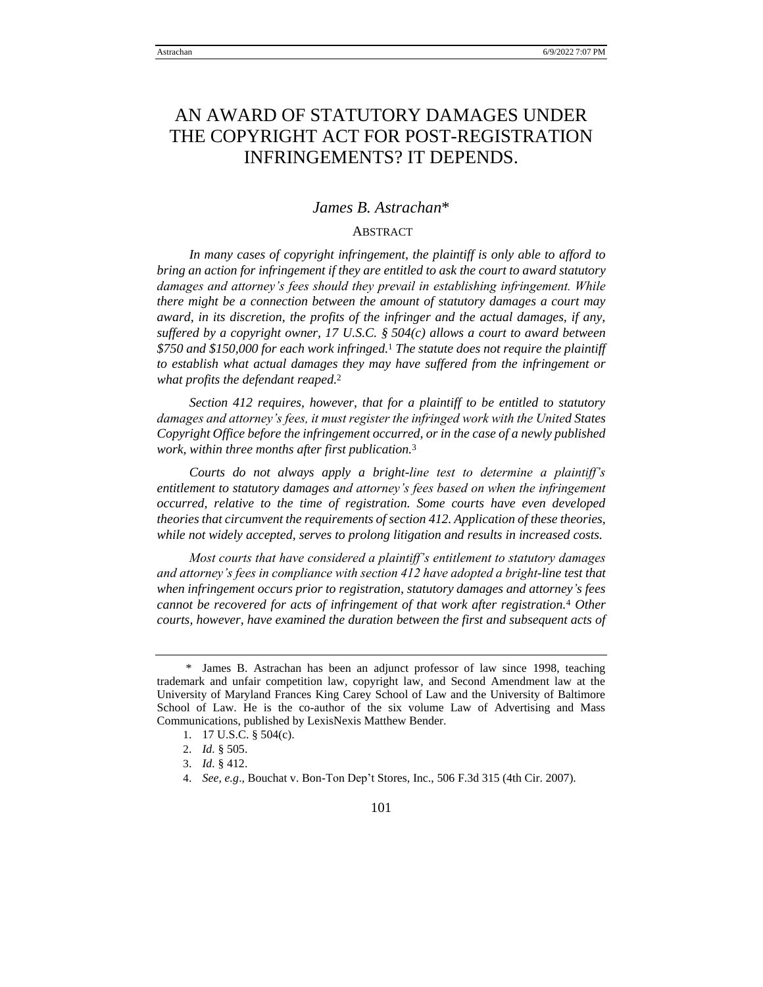# AN AWARD OF STATUTORY DAMAGES UNDER THE COPYRIGHT ACT FOR POST-REGISTRATION INFRINGEMENTS? IT DEPENDS.

# *James B. Astrachan*\*

# ABSTRACT

*In many cases of copyright infringement, the plaintiff is only able to afford to bring an action for infringement if they are entitled to ask the court to award statutory damages and attorney's fees should they prevail in establishing infringement. While there might be a connection between the amount of statutory damages a court may award, in its discretion, the profits of the infringer and the actual damages, if any, suffered by a copyright owner, 17 U.S.C. § 504(c) allows a court to award between \$750 and \$150,000 for each work infringed.*<sup>1</sup> *The statute does not require the plaintiff to establish what actual damages they may have suffered from the infringement or what profits the defendant reaped.*<sup>2</sup>

*Section 412 requires, however, that for a plaintiff to be entitled to statutory damages and attorney's fees, it must register the infringed work with the United States Copyright Office before the infringement occurred, or in the case of a newly published work, within three months after first publication.*<sup>3</sup>

*Courts do not always apply a bright-line test to determine a plaintiff's entitlement to statutory damages and attorney's fees based on when the infringement occurred, relative to the time of registration. Some courts have even developed theories that circumvent the requirements of section 412. Application of these theories, while not widely accepted, serves to prolong litigation and results in increased costs.*

*Most courts that have considered a plaintiff's entitlement to statutory damages and attorney's fees in compliance with section 412 have adopted a bright-line test that when infringement occurs prior to registration, statutory damages and attorney's fees cannot be recovered for acts of infringement of that work after registration.*<sup>4</sup> *Other courts, however, have examined the duration between the first and subsequent acts of* 

<sup>\*</sup> James B. Astrachan has been an adjunct professor of law since 1998, teaching trademark and unfair competition law, copyright law, and Second Amendment law at the University of Maryland Frances King Carey School of Law and the University of Baltimore School of Law. He is the co-author of the six volume Law of Advertising and Mass Communications, published by LexisNexis Matthew Bender.

<sup>1</sup>. 17 U.S.C. § 504(c).

<sup>2</sup>. *Id.* § 505.

<sup>3</sup>. *Id.* § 412.

<sup>4</sup>. *See, e.g*.*,* Bouchat v. Bon-Ton Dep't Stores, Inc., 506 F.3d 315 (4th Cir. 2007).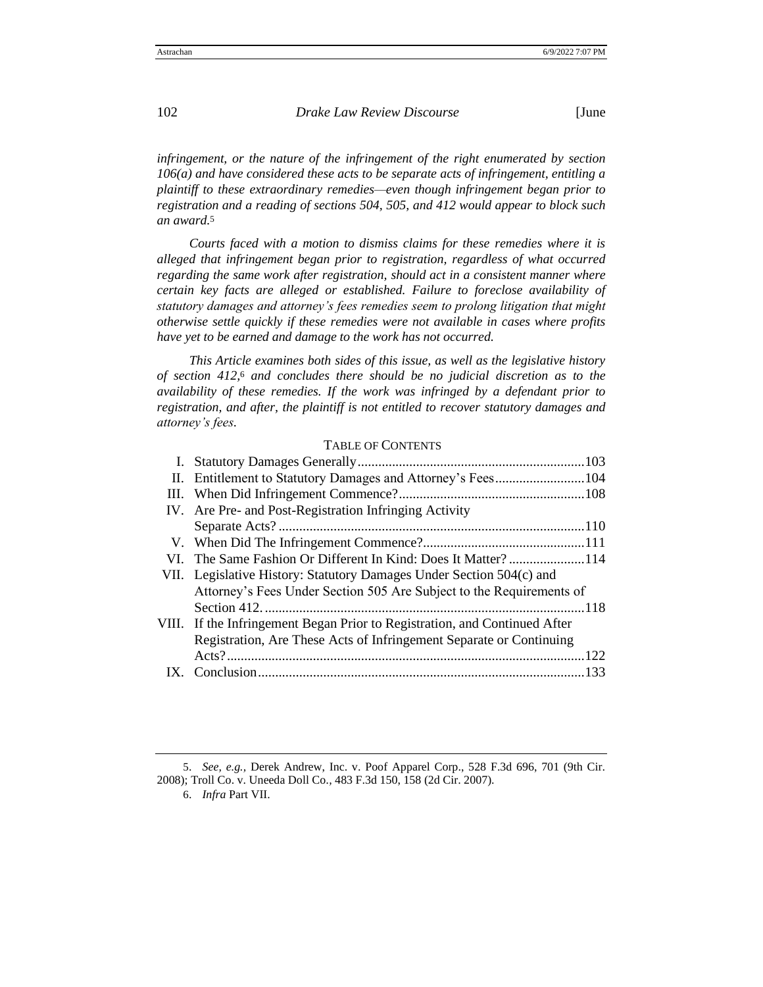*infringement, or the nature of the infringement of the right enumerated by section 106(a) and have considered these acts to be separate acts of infringement, entitling a plaintiff to these extraordinary remedies—even though infringement began prior to registration and a reading of sections 504, 505, and 412 would appear to block such an award.*<sup>5</sup>

*Courts faced with a motion to dismiss claims for these remedies where it is alleged that infringement began prior to registration, regardless of what occurred regarding the same work after registration, should act in a consistent manner where certain key facts are alleged or established. Failure to foreclose availability of statutory damages and attorney's fees remedies seem to prolong litigation that might otherwise settle quickly if these remedies were not available in cases where profits have yet to be earned and damage to the work has not occurred.*

*This Article examines both sides of this issue, as well as the legislative history of section 412,*<sup>6</sup> *and concludes there should be no judicial discretion as to the availability of these remedies. If the work was infringed by a defendant prior to registration, and after, the plaintiff is not entitled to recover statutory damages and attorney's fees.*

### TABLE OF CONTENTS

| II. Entitlement to Statutory Damages and Attorney's Fees104                |  |
|----------------------------------------------------------------------------|--|
|                                                                            |  |
| IV. Are Pre- and Post-Registration Infringing Activity                     |  |
|                                                                            |  |
|                                                                            |  |
| VI. The Same Fashion Or Different In Kind: Does It Matter?114              |  |
| VII. Legislative History: Statutory Damages Under Section 504(c) and       |  |
| Attorney's Fees Under Section 505 Are Subject to the Requirements of       |  |
|                                                                            |  |
| VIII. If the Infringement Began Prior to Registration, and Continued After |  |
| Registration, Are These Acts of Infringement Separate or Continuing        |  |
|                                                                            |  |
|                                                                            |  |
|                                                                            |  |

5. *See, e.g.,* Derek Andrew, Inc. v. Poof Apparel Corp., 528 F.3d 696, 701 (9th Cir. 2008); Troll Co. v. Uneeda Doll Co*.,* 483 F.3d 150, 158 (2d Cir. 2007).

6. *Infra* Part VII.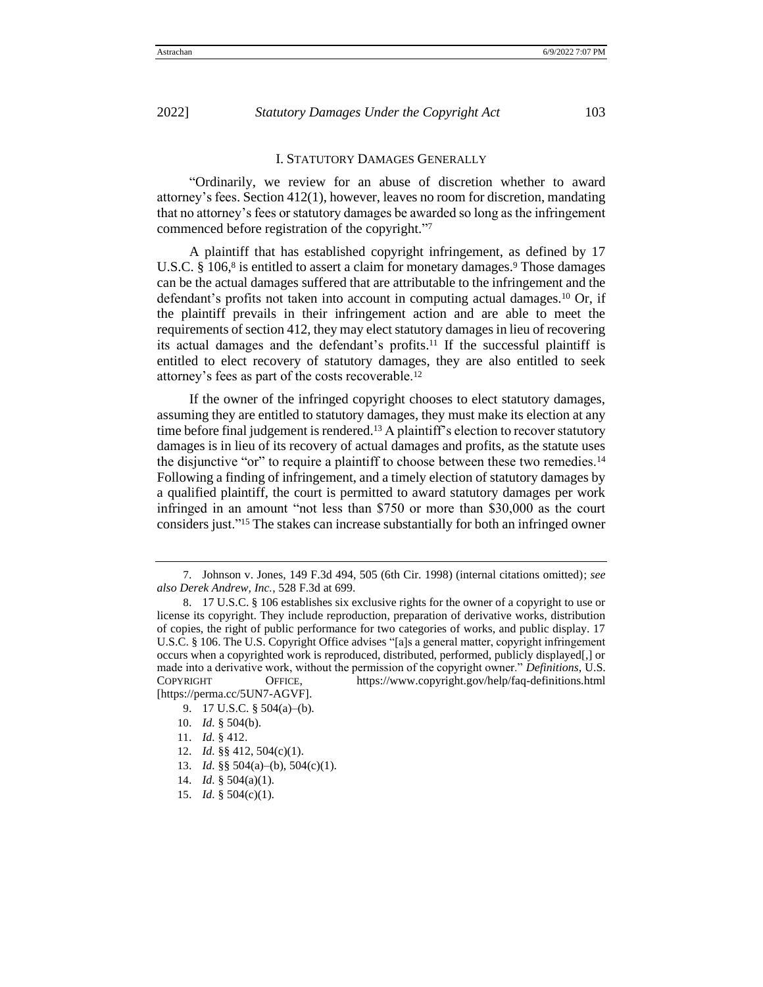# I. STATUTORY DAMAGES GENERALLY

"Ordinarily, we review for an abuse of discretion whether to award attorney's fees. Section 412(1), however, leaves no room for discretion, mandating that no attorney's fees or statutory damages be awarded so long as the infringement commenced before registration of the copyright." 7

A plaintiff that has established copyright infringement, as defined by 17 U.S.C. § 106,<sup>8</sup> is entitled to assert a claim for monetary damages.<sup>9</sup> Those damages can be the actual damages suffered that are attributable to the infringement and the defendant's profits not taken into account in computing actual damages.<sup>10</sup> Or, if the plaintiff prevails in their infringement action and are able to meet the requirements of section 412, they may elect statutory damages in lieu of recovering its actual damages and the defendant's profits.<sup>11</sup> If the successful plaintiff is entitled to elect recovery of statutory damages, they are also entitled to seek attorney's fees as part of the costs recoverable.<sup>12</sup>

If the owner of the infringed copyright chooses to elect statutory damages, assuming they are entitled to statutory damages, they must make its election at any time before final judgement is rendered.<sup>13</sup> A plaintiff's election to recover statutory damages is in lieu of its recovery of actual damages and profits, as the statute uses the disjunctive "or" to require a plaintiff to choose between these two remedies.<sup>14</sup> Following a finding of infringement, and a timely election of statutory damages by a qualified plaintiff, the court is permitted to award statutory damages per work infringed in an amount "not less than \$750 or more than \$30,000 as the court considers just."<sup>15</sup> The stakes can increase substantially for both an infringed owner

<sup>7</sup>. Johnson v. Jones, 149 F.3d 494, 505 (6th Cir. 1998) (internal citations omitted); *see also Derek Andrew, Inc.*, 528 F.3d at 699.

<sup>8</sup>. 17 U.S.C. § 106 establishes six exclusive rights for the owner of a copyright to use or license its copyright. They include reproduction, preparation of derivative works, distribution of copies, the right of public performance for two categories of works, and public display. 17 U.S.C. § 106. The U.S. Copyright Office advises "[a]s a general matter, copyright infringement occurs when a copyrighted work is reproduced, distributed, performed, publicly displayed[,] or made into a derivative work, without the permission of the copyright owner." *Definitions*, U.S. COPYRIGHT OFFICE, <https://www.copyright.gov/help/faq-definitions.html> [https://perma.cc/5UN7-AGVF].

<sup>9</sup>. 17 U.S.C. § 504(a)–(b).

<sup>10</sup>. *Id.* § 504(b).

<sup>11</sup>. *Id.* § 412.

<sup>12</sup>. *Id.* §§ 412, 504(c)(1).

<sup>13</sup>. *Id.* §§ 504(a)–(b), 504(c)(1).

<sup>14</sup>. *Id.* § 504(a)(1).

<sup>15</sup>. *Id.* § 504(c)(1).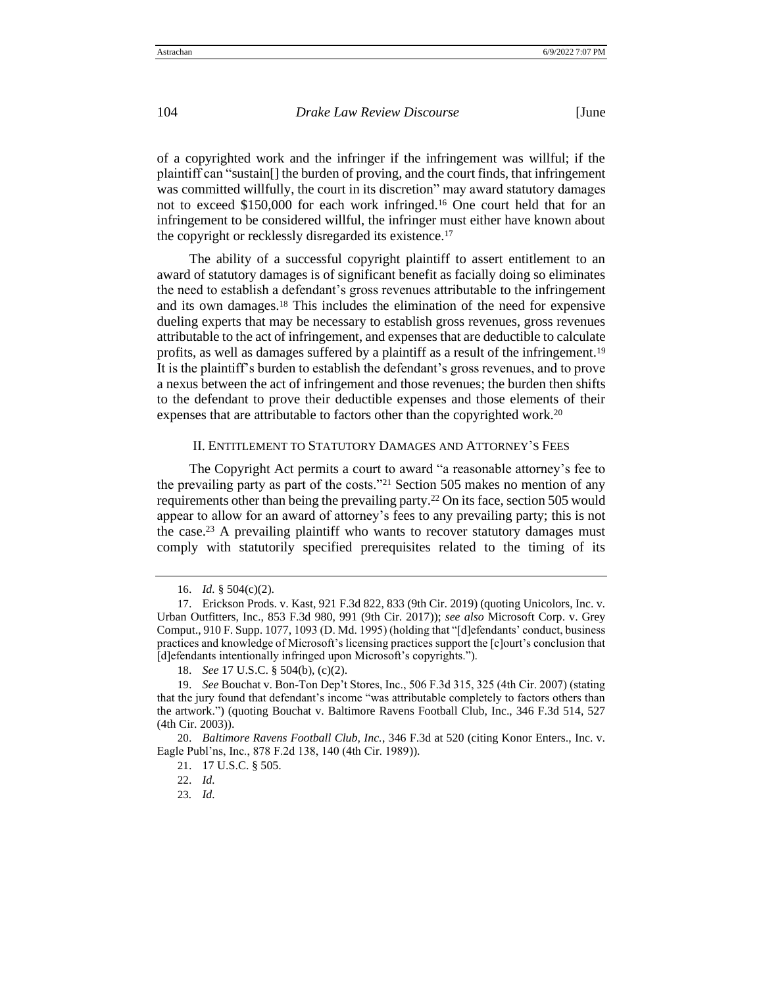of a copyrighted work and the infringer if the infringement was willful; if the plaintiff can "sustain[] the burden of proving, and the court finds, that infringement was committed willfully, the court in its discretion" may award statutory damages not to exceed \$150,000 for each work infringed.<sup>16</sup> One court held that for an infringement to be considered willful, the infringer must either have known about the copyright or recklessly disregarded its existence.<sup>17</sup>

The ability of a successful copyright plaintiff to assert entitlement to an award of statutory damages is of significant benefit as facially doing so eliminates the need to establish a defendant's gross revenues attributable to the infringement and its own damages.<sup>18</sup> This includes the elimination of the need for expensive dueling experts that may be necessary to establish gross revenues, gross revenues attributable to the act of infringement, and expenses that are deductible to calculate profits, as well as damages suffered by a plaintiff as a result of the infringement.<sup>19</sup> It is the plaintiff's burden to establish the defendant's gross revenues, and to prove a nexus between the act of infringement and those revenues; the burden then shifts to the defendant to prove their deductible expenses and those elements of their expenses that are attributable to factors other than the copyrighted work.<sup>20</sup>

#### II. ENTITLEMENT TO STATUTORY DAMAGES AND ATTORNEY'S FEES

The Copyright Act permits a court to award "a reasonable attorney's fee to the prevailing party as part of the costs."<sup>21</sup> Section 505 makes no mention of any requirements other than being the prevailing party.<sup>22</sup> On its face, section 505 would appear to allow for an award of attorney's fees to any prevailing party; this is not the case.<sup>23</sup> A prevailing plaintiff who wants to recover statutory damages must comply with statutorily specified prerequisites related to the timing of its

<sup>16</sup>. *Id.* § 504(c)(2).

<sup>17</sup>. Erickson Prods. v. Kast, 921 F.3d 822, 833 (9th Cir. 2019) (quoting Unicolors, Inc. v. Urban Outfitters, Inc., 853 F.3d 980, 991 (9th Cir. 2017)); *see also* Microsoft Corp. v. Grey Comput., 910 F. Supp. 1077, 1093 (D. Md. 1995) (holding that "[d]efendants' conduct, business practices and knowledge of Microsoft's licensing practices support the [c]ourt's conclusion that [d]efendants intentionally infringed upon Microsoft's copyrights.").

<sup>18</sup>. *See* 17 U.S.C. § 504(b), (c)(2).

<sup>19</sup>. *See* Bouchat v. Bon-Ton Dep't Stores, Inc., 506 F.3d 315, 325 (4th Cir. 2007) (stating that the jury found that defendant's income "was attributable completely to factors others than the artwork.") (quoting Bouchat v. Baltimore Ravens Football Club, Inc., 346 F.3d 514, 527 (4th Cir. 2003)).

<sup>20</sup>. *Baltimore Ravens Football Club, Inc.*, 346 F.3d at 520 (citing Konor Enters., Inc. v. Eagle Publ'ns, Inc., 878 F.2d 138, 140 (4th Cir. 1989)).

<sup>21</sup>. 17 U.S.C. § 505.

<sup>22</sup>. *Id.* 

<sup>23</sup>*. Id.*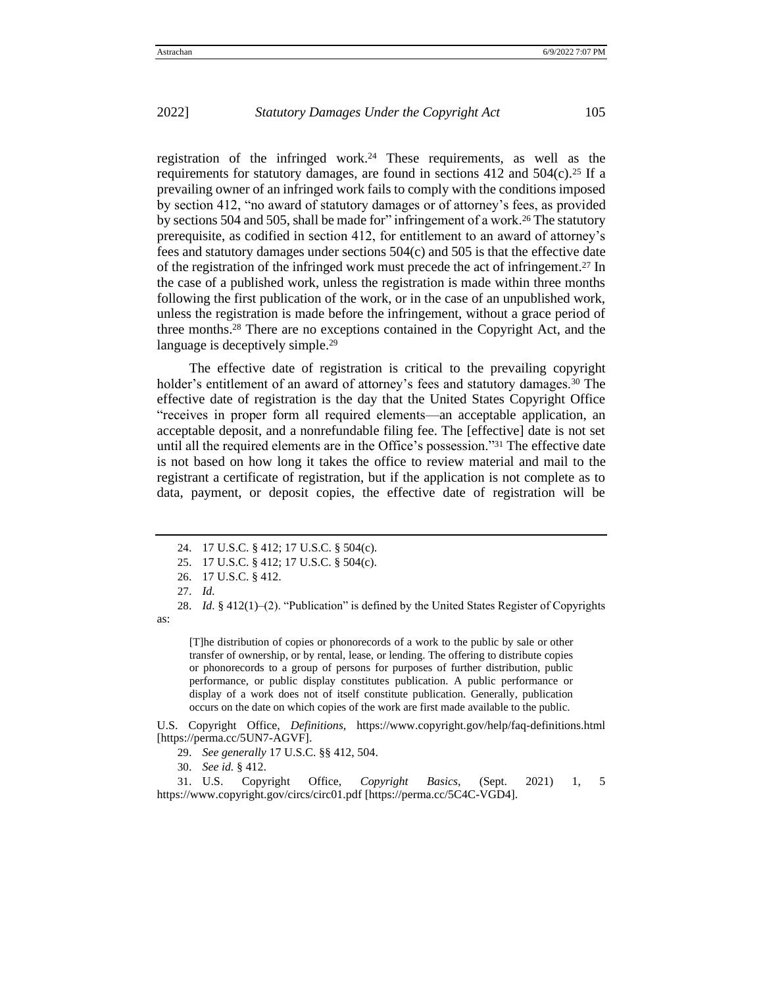registration of the infringed work.<sup>24</sup> These requirements, as well as the requirements for statutory damages, are found in sections  $412$  and  $504(c)$ .<sup>25</sup> If a prevailing owner of an infringed work fails to comply with the conditions imposed by section 412, "no award of statutory damages or of attorney's fees, as provided by sections 504 and 505, shall be made for" infringement of a work.<sup>26</sup> The statutory prerequisite, as codified in section 412, for entitlement to an award of attorney's fees and statutory damages under sections 504(c) and 505 is that the effective date of the registration of the infringed work must precede the act of infringement.<sup>27</sup> In the case of a published work, unless the registration is made within three months following the first publication of the work, or in the case of an unpublished work, unless the registration is made before the infringement, without a grace period of three months.<sup>28</sup> There are no exceptions contained in the Copyright Act, and the language is deceptively simple.<sup>29</sup>

The effective date of registration is critical to the prevailing copyright holder's entitlement of an award of attorney's fees and statutory damages.<sup>30</sup> The effective date of registration is the day that the United States Copyright Office "receives in proper form all required elements—an acceptable application, an acceptable deposit, and a nonrefundable filing fee. The [effective] date is not set until all the required elements are in the Office's possession."<sup>31</sup> The effective date is not based on how long it takes the office to review material and mail to the registrant a certificate of registration, but if the application is not complete as to data, payment, or deposit copies, the effective date of registration will be

as:

[T]he distribution of copies or phonorecords of a work to the public by sale or other transfer of ownership, or by rental, lease, or lending. The offering to distribute copies or phonorecords to a group of persons for purposes of further distribution, public performance, or public display constitutes publication. A public performance or display of a work does not of itself constitute publication. Generally, publication occurs on the date on which copies of the work are first made available to the public.

U.S. Copyright Office, *Definitions*, <https://www.copyright.gov/help/faq-definitions.html> [https://perma.cc/5UN7-AGVF].

29. *See generally* 17 U.S.C. §§ 412, 504.

30. *See id.* § 412.

31. U.S. Copyright Office, *Copyright Basics*, (Sept. 2021) 1, 5 <https://www.copyright.gov/circs/circ01.pdf> [https://perma.cc/5C4C-VGD4].

<sup>24</sup>. 17 U.S.C. § 412; 17 U.S.C. § 504(c).

<sup>25</sup>. 17 U.S.C. § 412; 17 U.S.C. § 504(c).

<sup>26</sup>. 17 U.S.C. § 412.

<sup>27</sup>. *Id.* 

<sup>28</sup>. *Id.* § 412(1)–(2). "Publication" is defined by the United States Register of Copyrights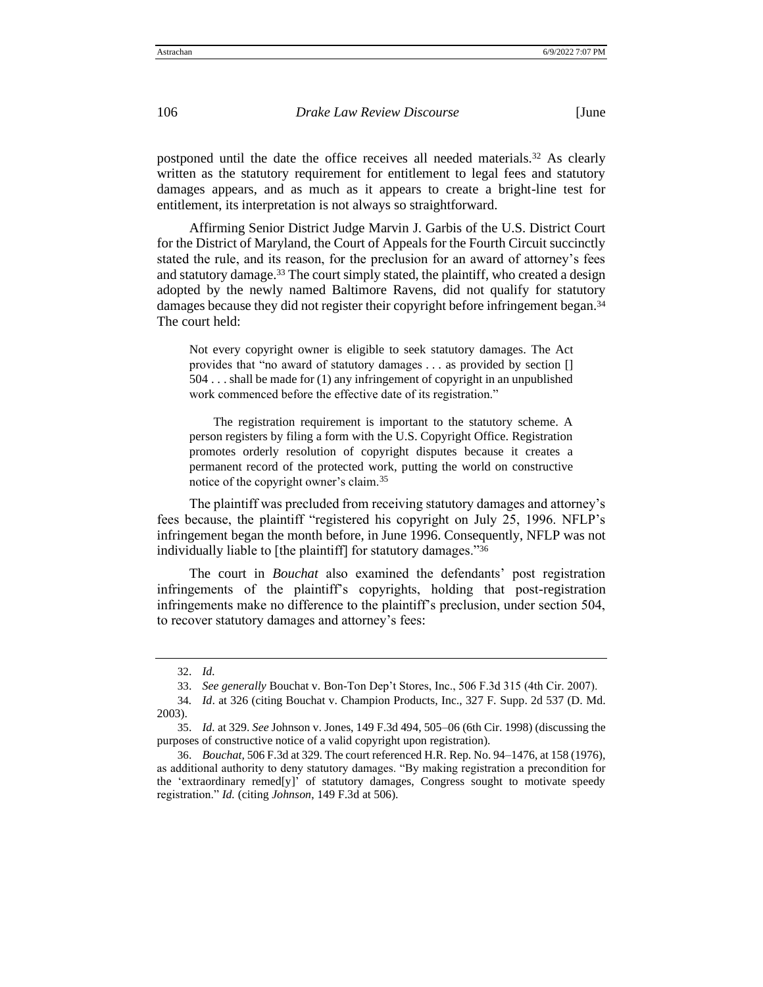postponed until the date the office receives all needed materials.<sup>32</sup> As clearly written as the statutory requirement for entitlement to legal fees and statutory damages appears, and as much as it appears to create a bright-line test for entitlement, its interpretation is not always so straightforward.

Affirming Senior District Judge Marvin J. Garbis of the U.S. District Court for the District of Maryland, the Court of Appeals for the Fourth Circuit succinctly stated the rule, and its reason, for the preclusion for an award of attorney's fees and statutory damage.<sup>33</sup> The court simply stated, the plaintiff, who created a design adopted by the newly named Baltimore Ravens, did not qualify for statutory damages because they did not register their copyright before infringement began.<sup>34</sup> The court held:

Not every copyright owner is eligible to seek statutory damages. The Act provides that "no award of statutory damages . . . as provided by section [] 504 . . . shall be made for (1) any infringement of copyright in an unpublished work commenced before the effective date of its registration."

The registration requirement is important to the statutory scheme. A person registers by filing a form with the U.S. Copyright Office. Registration promotes orderly resolution of copyright disputes because it creates a permanent record of the protected work, putting the world on constructive notice of the copyright owner's claim.<sup>35</sup>

The plaintiff was precluded from receiving statutory damages and attorney's fees because, the plaintiff "registered his copyright on July 25, 1996. NFLP's infringement began the month before, in June 1996. Consequently, NFLP was not individually liable to [the plaintiff] for statutory damages."<sup>36</sup>

The court in *Bouchat* also examined the defendants' post registration infringements of the plaintiff's copyrights, holding that post-registration infringements make no difference to the plaintiff's preclusion, under section 504, to recover statutory damages and attorney's fees:

<sup>32</sup>. *Id.*

<sup>33</sup>. *See generally* Bouchat v. Bon-Ton Dep't Stores, Inc., 506 F.3d 315 (4th Cir. 2007).

<sup>34</sup>*. Id*. at 326 (citing Bouchat v. Champion Products, Inc., 327 F. Supp. 2d 537 (D. Md. 2003).

<sup>35</sup>. *Id.* at 329. *See* Johnson v. Jones, 149 F.3d 494, 505–06 (6th Cir. 1998) (discussing the purposes of constructive notice of a valid copyright upon registration).

<sup>36</sup>. *Bouchat,* 506 F.3d at 329. The court referenced H.R. Rep. No. 94–1476, at 158 (1976), as additional authority to deny statutory damages. "By making registration a precondition for the 'extraordinary remed[y]' of statutory damages, Congress sought to motivate speedy registration." *Id.* (citing *Johnson*, 149 F.3d at 506).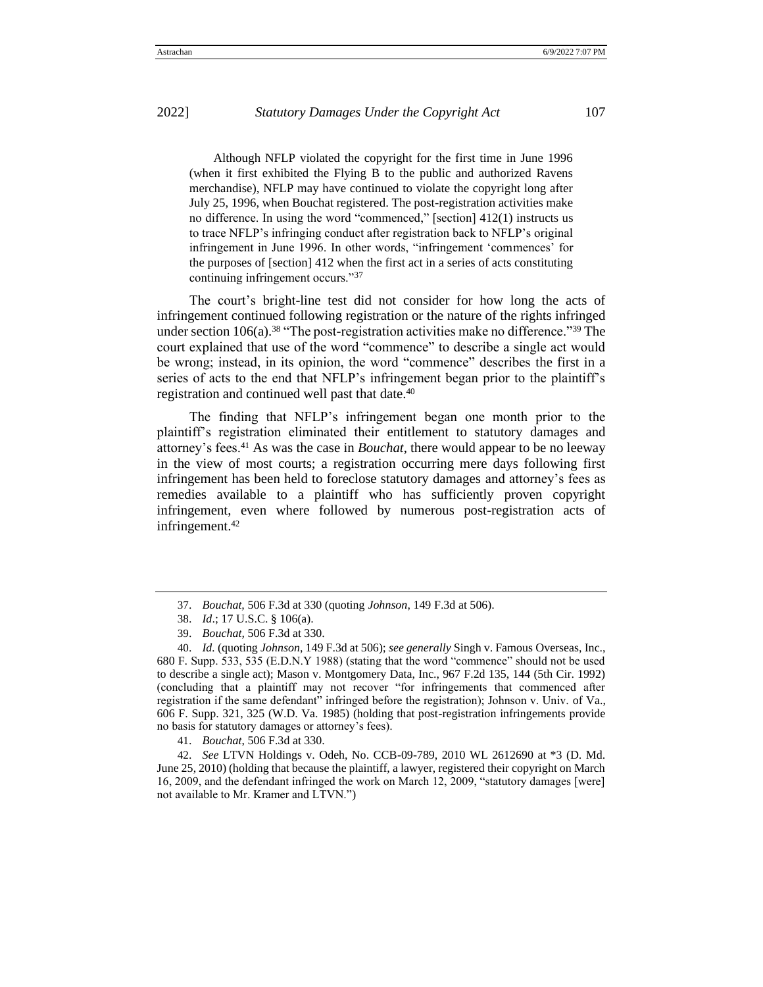Although NFLP violated the copyright for the first time in June 1996 (when it first exhibited the Flying B to the public and authorized Ravens merchandise), NFLP may have continued to violate the copyright long after July 25, 1996, when Bouchat registered. The post-registration activities make no difference. In using the word "commenced," [section] 412(1) instructs us to trace NFLP's infringing conduct after registration back to NFLP's original infringement in June 1996. In other words, "infringement 'commences' for the purposes of [section] 412 when the first act in a series of acts constituting continuing infringement occurs."<sup>37</sup>

The court's bright-line test did not consider for how long the acts of infringement continued following registration or the nature of the rights infringed under section  $106(a)$ .<sup>38</sup> "The post-registration activities make no difference."<sup>39</sup> The court explained that use of the word "commence" to describe a single act would be wrong; instead, in its opinion, the word "commence" describes the first in a series of acts to the end that NFLP's infringement began prior to the plaintiff's registration and continued well past that date.<sup>40</sup>

The finding that NFLP's infringement began one month prior to the plaintiff's registration eliminated their entitlement to statutory damages and attorney's fees.<sup>41</sup> As was the case in *Bouchat*, there would appear to be no leeway in the view of most courts; a registration occurring mere days following first infringement has been held to foreclose statutory damages and attorney's fees as remedies available to a plaintiff who has sufficiently proven copyright infringement, even where followed by numerous post-registration acts of infringement.<sup>42</sup>

41. *Bouchat*, 506 F.3d at 330.

42. *See* LTVN Holdings v. Odeh, No. CCB-09-789, 2010 WL 2612690 at \*3 (D. Md. June 25, 2010) (holding that because the plaintiff, a lawyer, registered their copyright on March 16, 2009, and the defendant infringed the work on March 12, 2009, "statutory damages [were] not available to Mr. Kramer and LTVN.")

<sup>37</sup>. *Bouchat,* 506 F.3d at 330 (quoting *Johnson*, 149 F.3d at 506).

<sup>38</sup>. *Id*.; 17 U.S.C. § 106(a).

<sup>39</sup>. *Bouchat,* 506 F.3d at 330.

<sup>40</sup>. *Id.* (quoting *Johnson*, 149 F.3d at 506); *see generally* Singh v. Famous Overseas, Inc., 680 F. Supp. 533, 535 (E.D.N.Y 1988) (stating that the word "commence" should not be used to describe a single act); Mason v. Montgomery Data, Inc., 967 F.2d 135, 144 (5th Cir. 1992) (concluding that a plaintiff may not recover "for infringements that commenced after registration if the same defendant" infringed before the registration); Johnson v. Univ. of Va., 606 F. Supp. 321, 325 (W.D. Va. 1985) (holding that post-registration infringements provide no basis for statutory damages or attorney's fees).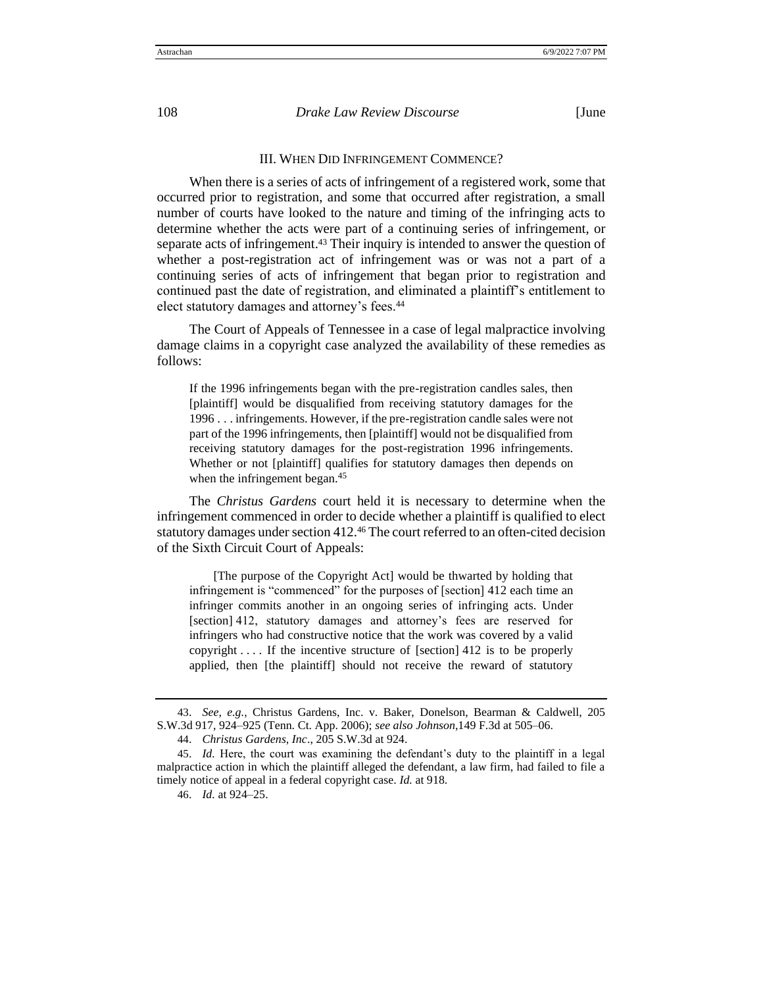## III. WHEN DID INFRINGEMENT COMMENCE?

When there is a series of acts of infringement of a registered work, some that occurred prior to registration, and some that occurred after registration, a small number of courts have looked to the nature and timing of the infringing acts to determine whether the acts were part of a continuing series of infringement, or separate acts of infringement.<sup>43</sup> Their inquiry is intended to answer the question of whether a post-registration act of infringement was or was not a part of a continuing series of acts of infringement that began prior to registration and continued past the date of registration, and eliminated a plaintiff's entitlement to elect statutory damages and attorney's fees.<sup>44</sup>

The Court of Appeals of Tennessee in a case of legal malpractice involving damage claims in a copyright case analyzed the availability of these remedies as follows:

If the 1996 infringements began with the pre-registration candles sales, then [plaintiff] would be disqualified from receiving statutory damages for the 1996 . . . infringements. However, if the pre-registration candle sales were not part of the 1996 infringements, then [plaintiff] would not be disqualified from receiving statutory damages for the post-registration 1996 infringements. Whether or not [plaintiff] qualifies for statutory damages then depends on when the infringement began.<sup>45</sup>

The *Christus Gardens* court held it is necessary to determine when the infringement commenced in order to decide whether a plaintiff is qualified to elect statutory damages under section 412.<sup>46</sup> The court referred to an often-cited decision of the Sixth Circuit Court of Appeals:

[The purpose of the Copyright Act] would be thwarted by holding that infringement is "commenced" for the purposes of [section] 412 each time an infringer commits another in an ongoing series of infringing acts. Under [section] 412, statutory damages and attorney's fees are reserved for infringers who had constructive notice that the work was covered by a valid copyright .... If the incentive structure of [section] 412 is to be properly applied, then [the plaintiff] should not receive the reward of statutory

<sup>43</sup>. *See, e.g.,* Christus Gardens, Inc. v. Baker, Donelson, Bearman & Caldwell, 205 S.W.3d 917, 924–925 (Tenn. Ct. App. 2006); *see also Johnson*,149 F.3d at 505–06.

<sup>44</sup>. *Christus Gardens, Inc*., 205 S.W.3d at 924.

<sup>45</sup>. *Id.* Here, the court was examining the defendant's duty to the plaintiff in a legal malpractice action in which the plaintiff alleged the defendant, a law firm, had failed to file a timely notice of appeal in a federal copyright case. *Id.* at 918.

<sup>46</sup>. *Id.* at 924–25.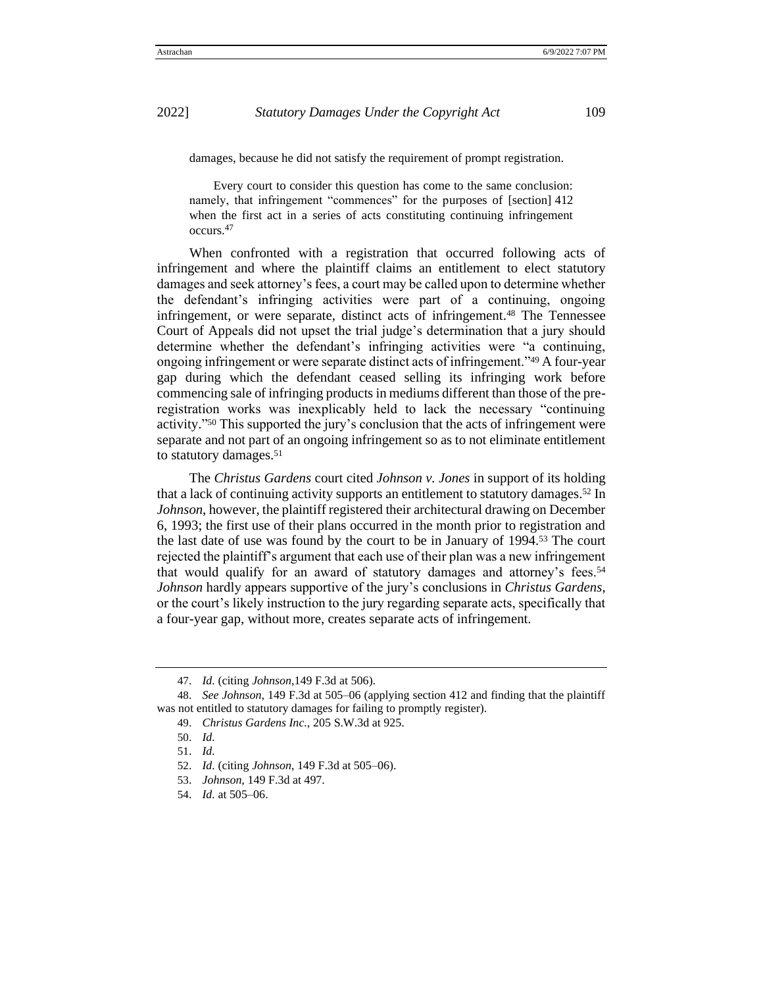damages, because he did not satisfy the requirement of prompt registration.

Every court to consider this question has come to the same conclusion: namely, that infringement "commences" for the purposes of [section] 412 when the first act in a series of acts constituting continuing infringement occurs.<sup>47</sup>

When confronted with a registration that occurred following acts of infringement and where the plaintiff claims an entitlement to elect statutory damages and seek attorney's fees, a court may be called upon to determine whether the defendant's infringing activities were part of a continuing, ongoing infringement, or were separate, distinct acts of infringement.<sup>48</sup> The Tennessee Court of Appeals did not upset the trial judge's determination that a jury should determine whether the defendant's infringing activities were "a continuing, ongoing infringement or were separate distinct acts of infringement."<sup>49</sup> A four-year gap during which the defendant ceased selling its infringing work before commencing sale of infringing products in mediums different than those of the preregistration works was inexplicably held to lack the necessary "continuing activity." <sup>50</sup> This supported the jury's conclusion that the acts of infringement were separate and not part of an ongoing infringement so as to not eliminate entitlement to statutory damages.<sup>51</sup>

The *Christus Gardens* court cited *Johnson v. Jones* in support of its holding that a lack of continuing activity supports an entitlement to statutory damages.<sup>52</sup> In *Johnson*, however, the plaintiff registered their architectural drawing on December 6, 1993; the first use of their plans occurred in the month prior to registration and the last date of use was found by the court to be in January of 1994.<sup>53</sup> The court rejected the plaintiff's argument that each use of their plan was a new infringement that would qualify for an award of statutory damages and attorney's fees.<sup>54</sup> *Johnson* hardly appears supportive of the jury's conclusions in *Christus Gardens*, or the court's likely instruction to the jury regarding separate acts, specifically that a four-year gap, without more, creates separate acts of infringement.

<sup>47</sup>. *Id.* (citing *Johnson*,149 F.3d at 506).

<sup>48</sup>. *See Johnson*, 149 F.3d at 505–06 (applying section 412 and finding that the plaintiff was not entitled to statutory damages for failing to promptly register).

<sup>49</sup>. *Christus Gardens Inc.,* 205 S.W.3d at 925.

<sup>50</sup>. *Id.*

<sup>51</sup>. *Id.*

<sup>52</sup>. *Id.* (citing *Johnson*, 149 F.3d at 505–06).

<sup>53</sup>. *Johnson,* 149 F.3d at 497.

<sup>54</sup>. *Id.* at 505–06.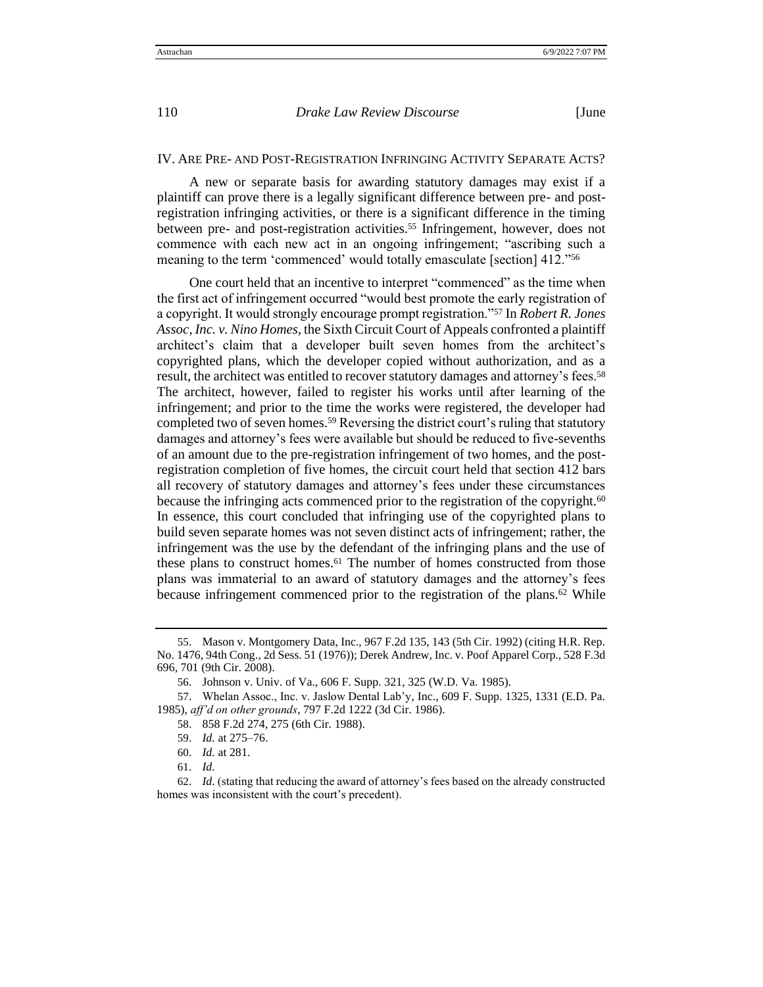## IV. ARE PRE- AND POST-REGISTRATION INFRINGING ACTIVITY SEPARATE ACTS?

A new or separate basis for awarding statutory damages may exist if a plaintiff can prove there is a legally significant difference between pre- and postregistration infringing activities, or there is a significant difference in the timing between pre- and post-registration activities.<sup>55</sup> Infringement, however, does not commence with each new act in an ongoing infringement; "ascribing such a meaning to the term 'commenced' would totally emasculate [section] 412."<sup>56</sup>

One court held that an incentive to interpret "commenced" as the time when the first act of infringement occurred "would best promote the early registration of a copyright. It would strongly encourage prompt registration."<sup>57</sup> In *Robert R. Jones Assoc, Inc. v. Nino Homes*, the Sixth Circuit Court of Appeals confronted a plaintiff architect's claim that a developer built seven homes from the architect's copyrighted plans, which the developer copied without authorization, and as a result, the architect was entitled to recover statutory damages and attorney's fees.<sup>58</sup> The architect, however, failed to register his works until after learning of the infringement; and prior to the time the works were registered, the developer had completed two of seven homes.<sup>59</sup> Reversing the district court's ruling that statutory damages and attorney's fees were available but should be reduced to five-sevenths of an amount due to the pre-registration infringement of two homes, and the postregistration completion of five homes, the circuit court held that section 412 bars all recovery of statutory damages and attorney's fees under these circumstances because the infringing acts commenced prior to the registration of the copyright.<sup>60</sup> In essence, this court concluded that infringing use of the copyrighted plans to build seven separate homes was not seven distinct acts of infringement; rather, the infringement was the use by the defendant of the infringing plans and the use of these plans to construct homes.<sup>61</sup> The number of homes constructed from those plans was immaterial to an award of statutory damages and the attorney's fees because infringement commenced prior to the registration of the plans.<sup>62</sup> While

<sup>55</sup>. Mason v. Montgomery Data, Inc., 967 F.2d 135, 143 (5th Cir. 1992) (citing H.R. Rep. No. 1476, 94th Cong., 2d Sess. 51 (1976)); Derek Andrew, Inc. v. Poof Apparel Corp., 528 F.3d 696, 701 (9th Cir. 2008).

<sup>56</sup>. Johnson v. Univ. of Va., 606 F. Supp. 321, 325 (W.D. Va. 1985).

<sup>57</sup>. Whelan Assoc., Inc. v. Jaslow Dental Lab'y, Inc., 609 F. Supp. 1325, 1331 (E.D. Pa. 1985), *aff'd on other grounds*, 797 F.2d 1222 (3d Cir. 1986).

<sup>58</sup>. 858 F.2d 274, 275 (6th Cir. 1988).

<sup>59</sup>. *Id.* at 275–76.

<sup>60</sup>. *Id.* at 281.

<sup>61</sup>. *Id.* 

<sup>62</sup>. *Id.* (stating that reducing the award of attorney's fees based on the already constructed homes was inconsistent with the court's precedent).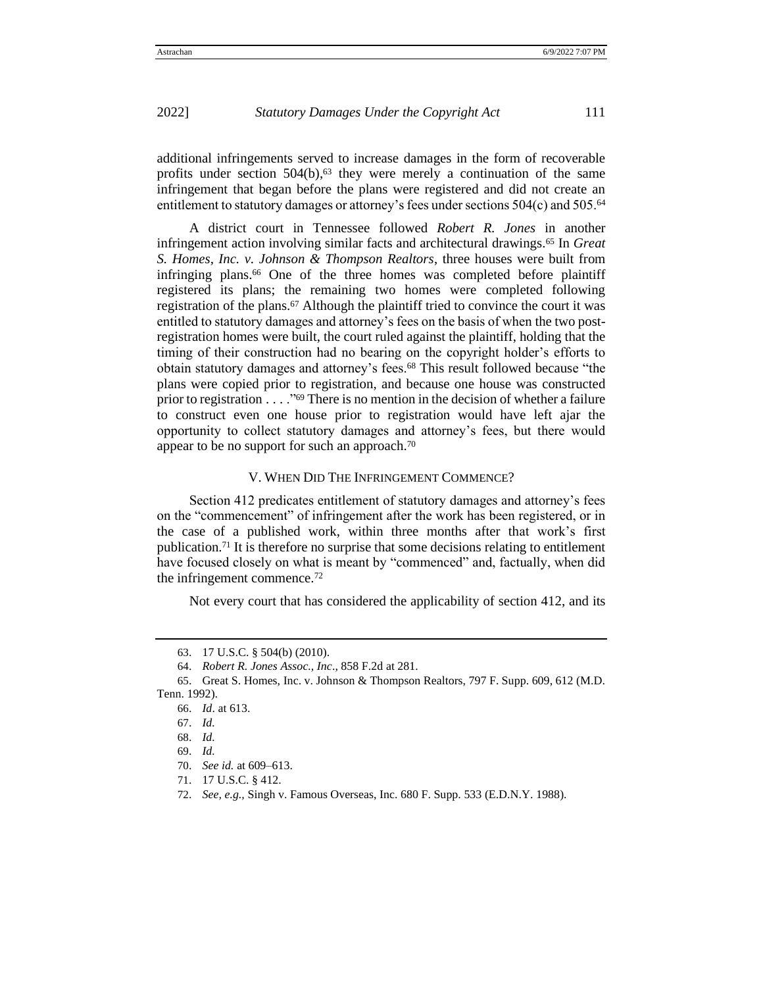additional infringements served to increase damages in the form of recoverable profits under section  $504(b)$ ,<sup>63</sup> they were merely a continuation of the same infringement that began before the plans were registered and did not create an entitlement to statutory damages or attorney's fees under sections 504(c) and 505.<sup>64</sup>

A district court in Tennessee followed *Robert R. Jones* in another infringement action involving similar facts and architectural drawings.<sup>65</sup> In *Great S. Homes, Inc. v. Johnson & Thompson Realtors*, three houses were built from infringing plans.<sup>66</sup> One of the three homes was completed before plaintiff registered its plans; the remaining two homes were completed following registration of the plans.<sup>67</sup> Although the plaintiff tried to convince the court it was entitled to statutory damages and attorney's fees on the basis of when the two postregistration homes were built, the court ruled against the plaintiff, holding that the timing of their construction had no bearing on the copyright holder's efforts to obtain statutory damages and attorney's fees.<sup>68</sup> This result followed because "the plans were copied prior to registration, and because one house was constructed prior to registration  $\ldots$  ."<sup>69</sup> There is no mention in the decision of whether a failure to construct even one house prior to registration would have left ajar the opportunity to collect statutory damages and attorney's fees, but there would appear to be no support for such an approach.<sup>70</sup>

#### V. WHEN DID THE INFRINGEMENT COMMENCE?

Section 412 predicates entitlement of statutory damages and attorney's fees on the "commencement" of infringement after the work has been registered, or in the case of a published work, within three months after that work's first publication.<sup>71</sup> It is therefore no surprise that some decisions relating to entitlement have focused closely on what is meant by "commenced" and, factually, when did the infringement commence.<sup>72</sup>

Not every court that has considered the applicability of section 412, and its

<sup>63</sup>. 17 U.S.C. § 504(b) (2010).

<sup>64</sup>. *Robert R. Jones Assoc., Inc*., 858 F.2d at 281.

<sup>65</sup>. Great S. Homes, Inc. v. Johnson & Thompson Realtors, 797 F. Supp. 609, 612 (M.D. Tenn. 1992).

<sup>66</sup>. *Id*. at 613.

<sup>67</sup>. *Id.* 

<sup>68</sup>. *Id.*

<sup>69</sup>. *Id.*

<sup>70</sup>. *See id.* at 609–613.

<sup>71</sup>. 17 U.S.C. § 412.

<sup>72</sup>. *See, e.g.,* Singh v. Famous Overseas, Inc. 680 F. Supp. 533 (E.D.N.Y. 1988).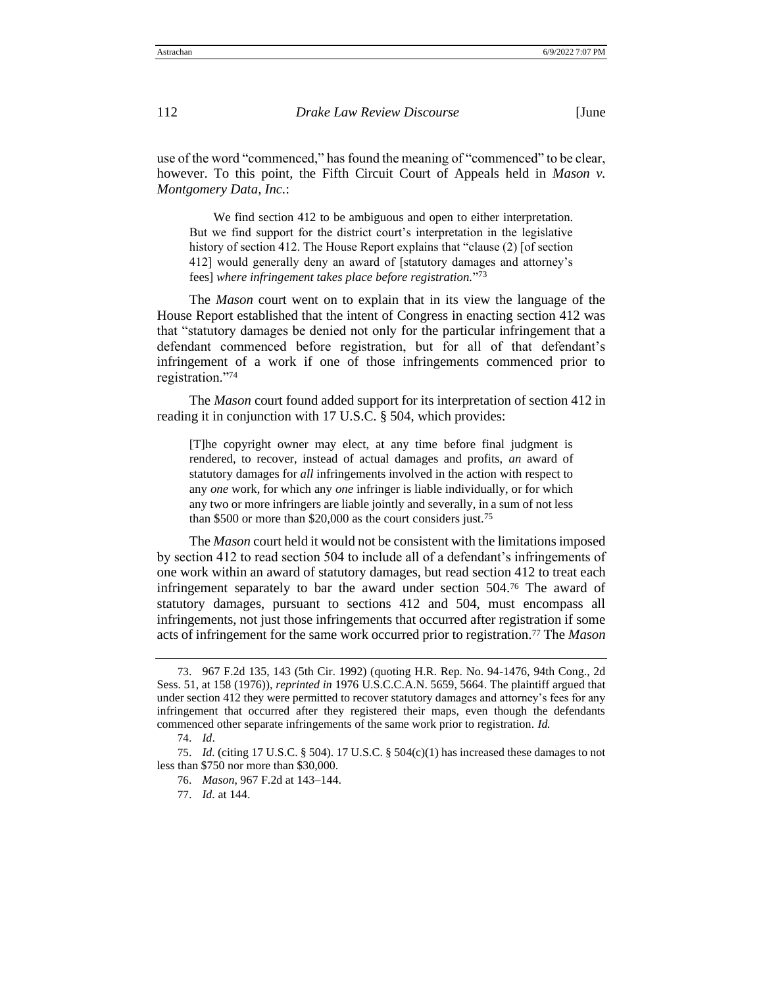use of the word "commenced," has found the meaning of "commenced" to be clear, however. To this point, the Fifth Circuit Court of Appeals held in *Mason v. Montgomery Data, Inc.*:

We find section 412 to be ambiguous and open to either interpretation. But we find support for the district court's interpretation in the legislative history of section 412. The House Report explains that "clause (2) [of section 412] would generally deny an award of [statutory damages and attorney's fees] *where infringement takes place before registration.*" 73

The *Mason* court went on to explain that in its view the language of the House Report established that the intent of Congress in enacting section 412 was that "statutory damages be denied not only for the particular infringement that a defendant commenced before registration, but for all of that defendant's infringement of a work if one of those infringements commenced prior to registration."<sup>74</sup>

The *Mason* court found added support for its interpretation of section 412 in reading it in conjunction with 17 U.S.C. § 504, which provides:

[T]he copyright owner may elect, at any time before final judgment is rendered, to recover, instead of actual damages and profits, *an* award of statutory damages for *all* infringements involved in the action with respect to any *one* work, for which any *one* infringer is liable individually, or for which any two or more infringers are liable jointly and severally, in a sum of not less than \$500 or more than \$20,000 as the court considers just.<sup>75</sup>

The *Mason* court held it would not be consistent with the limitations imposed by section 412 to read section 504 to include all of a defendant's infringements of one work within an award of statutory damages, but read section 412 to treat each infringement separately to bar the award under section 504.<sup>76</sup> The award of statutory damages, pursuant to sections 412 and 504, must encompass all infringements, not just those infringements that occurred after registration if some acts of infringement for the same work occurred prior to registration.<sup>77</sup> The *Mason*

<sup>73</sup>. 967 F.2d 135, 143 (5th Cir. 1992) (quoting H.R. Rep. No. 94-1476, 94th Cong., 2d Sess. 51, at 158 (1976)), *reprinted in* 1976 U.S.C.C.A.N. 5659, 5664. The plaintiff argued that under section 412 they were permitted to recover statutory damages and attorney's fees for any infringement that occurred after they registered their maps, even though the defendants commenced other separate infringements of the same work prior to registration. *Id.*

<sup>74</sup>. *Id*.

<sup>75</sup>. *Id.* (citing 17 U.S.C. § 504). 17 U.S.C. § 504(c)(1) has increased these damages to not less than \$750 nor more than \$30,000.

<sup>76</sup>. *Mason*, 967 F.2d at 143–144.

<sup>77</sup>. *Id.* at 144.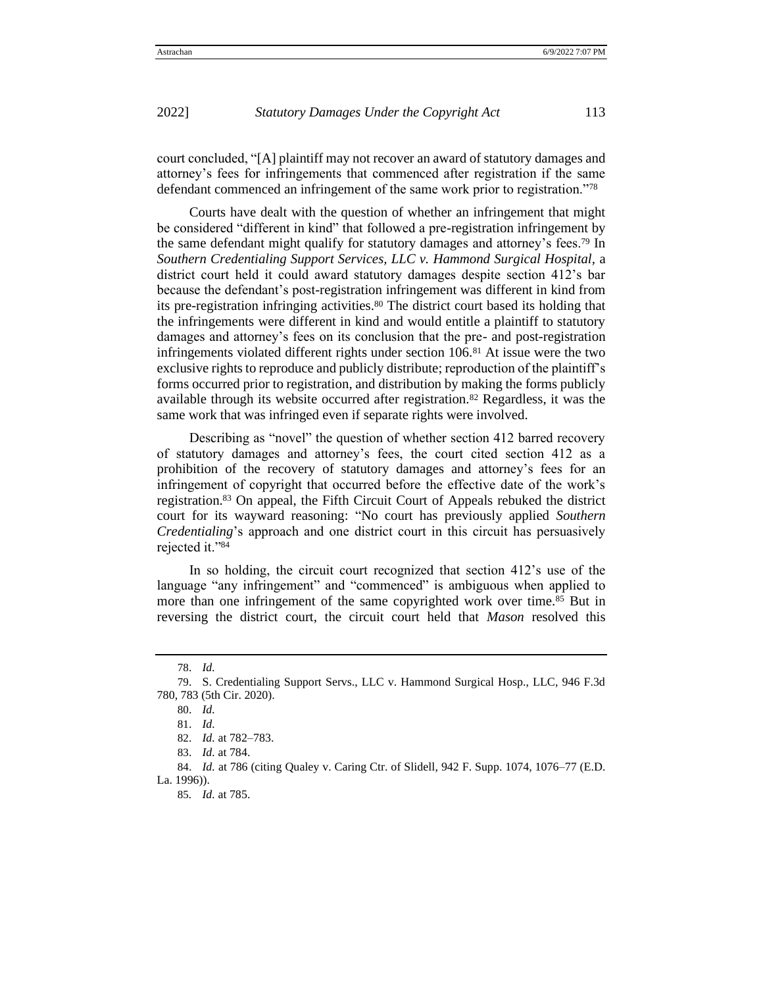court concluded, "[A] plaintiff may not recover an award of statutory damages and attorney's fees for infringements that commenced after registration if the same defendant commenced an infringement of the same work prior to registration."<sup>78</sup>

Courts have dealt with the question of whether an infringement that might be considered "different in kind" that followed a pre-registration infringement by the same defendant might qualify for statutory damages and attorney's fees.<sup>79</sup> In *Southern Credentialing Support Services, LLC v. Hammond Surgical Hospital,* a district court held it could award statutory damages despite section 412's bar because the defendant's post-registration infringement was different in kind from its pre-registration infringing activities.<sup>80</sup> The district court based its holding that the infringements were different in kind and would entitle a plaintiff to statutory damages and attorney's fees on its conclusion that the pre- and post-registration infringements violated different rights under section 106.<sup>81</sup> At issue were the two exclusive rights to reproduce and publicly distribute; reproduction of the plaintiff's forms occurred prior to registration, and distribution by making the forms publicly available through its website occurred after registration.<sup>82</sup> Regardless, it was the same work that was infringed even if separate rights were involved.

Describing as "novel" the question of whether section 412 barred recovery of statutory damages and attorney's fees, the court cited section 412 as a prohibition of the recovery of statutory damages and attorney's fees for an infringement of copyright that occurred before the effective date of the work's registration.<sup>83</sup> On appeal, the Fifth Circuit Court of Appeals rebuked the district court for its wayward reasoning: "No court has previously applied *Southern Credentialing*'s approach and one district court in this circuit has persuasively rejected it."<sup>84</sup>

In so holding, the circuit court recognized that section 412's use of the language "any infringement" and "commenced" is ambiguous when applied to more than one infringement of the same copyrighted work over time.<sup>85</sup> But in reversing the district court, the circuit court held that *Mason* resolved this

<sup>78</sup>. *Id.*

<sup>79</sup>. S. Credentialing Support Servs., LLC v. Hammond Surgical Hosp., LLC, 946 F.3d 780, 783 (5th Cir. 2020).

<sup>80</sup>. *Id.* 

<sup>81</sup>. *Id.* 

<sup>82</sup>. *Id.* at 782–783.

<sup>83</sup>. *Id.* at 784.

<sup>84.</sup> *Id.* at 786 (citing Qualey v. Caring Ctr. of Slidell, 942 F. Supp. 1074, 1076-77 (E.D. La. 1996)).

<sup>85</sup>*. Id.* at 785.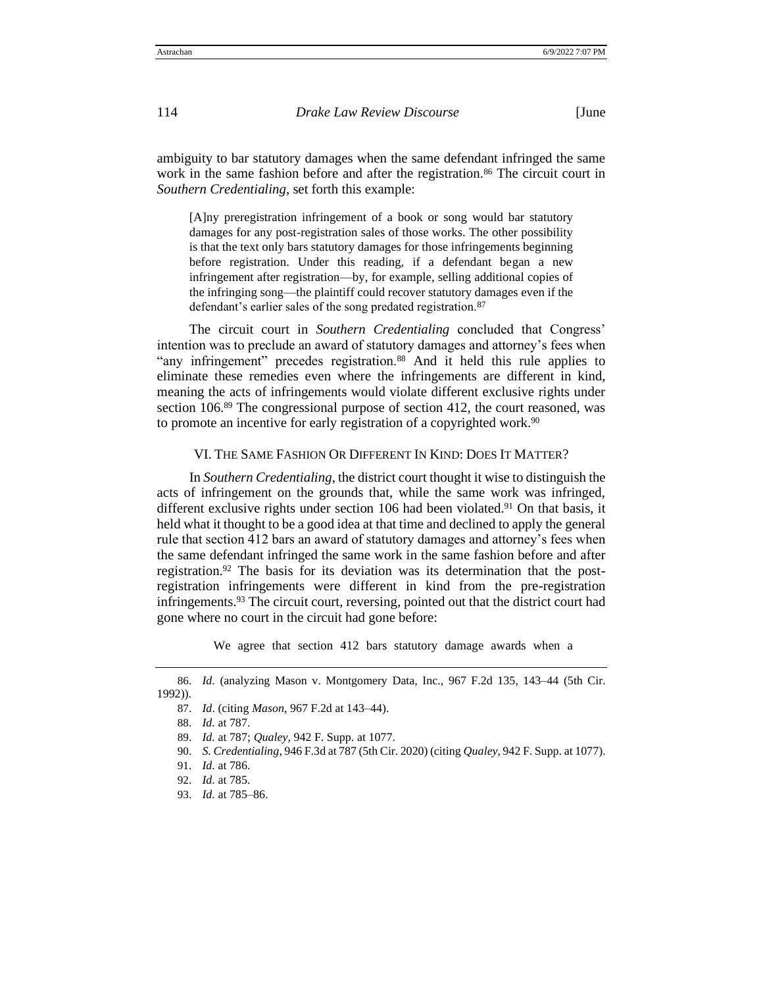ambiguity to bar statutory damages when the same defendant infringed the same work in the same fashion before and after the registration.<sup>86</sup> The circuit court in *Southern Credentialing*, set forth this example:

[A]ny preregistration infringement of a book or song would bar statutory damages for any post-registration sales of those works. The other possibility is that the text only bars statutory damages for those infringements beginning before registration. Under this reading, if a defendant began a new infringement after registration—by, for example, selling additional copies of the infringing song—the plaintiff could recover statutory damages even if the defendant's earlier sales of the song predated registration.<sup>87</sup>

The circuit court in *Southern Credentialing* concluded that Congress' intention was to preclude an award of statutory damages and attorney's fees when "any infringement" precedes registration.<sup>88</sup> And it held this rule applies to eliminate these remedies even where the infringements are different in kind, meaning the acts of infringements would violate different exclusive rights under section 106.<sup>89</sup> The congressional purpose of section 412, the court reasoned, was to promote an incentive for early registration of a copyrighted work.<sup>90</sup>

#### VI. THE SAME FASHION OR DIFFERENT IN KIND: DOES IT MATTER?

In *Southern Credentialing,* the district court thought it wise to distinguish the acts of infringement on the grounds that, while the same work was infringed, different exclusive rights under section 106 had been violated.<sup>91</sup> On that basis, it held what it thought to be a good idea at that time and declined to apply the general rule that section 412 bars an award of statutory damages and attorney's fees when the same defendant infringed the same work in the same fashion before and after registration.<sup>92</sup> The basis for its deviation was its determination that the postregistration infringements were different in kind from the pre-registration infringements.<sup>93</sup> The circuit court, reversing, pointed out that the district court had gone where no court in the circuit had gone before:

We agree that section 412 bars statutory damage awards when a

<sup>86</sup>. *Id.* (analyzing Mason v. Montgomery Data, Inc., 967 F.2d 135, 143–44 (5th Cir. 1992)).

<sup>87</sup>. *Id*. (citing *Mason*, 967 F.2d at 143–44).

<sup>88</sup>. *Id.* at 787.

<sup>89</sup>. *Id.* at 787; *Qualey*, 942 F. Supp. at 1077.

<sup>90</sup>. *S. Credentialing*, 946 F.3d at 787 (5th Cir. 2020) (citing *Qualey*, 942 F. Supp. at 1077).

<sup>91</sup>. *Id.* at 786.

<sup>92</sup>. *Id.* at 785.

<sup>93</sup>. *Id.* at 785–86.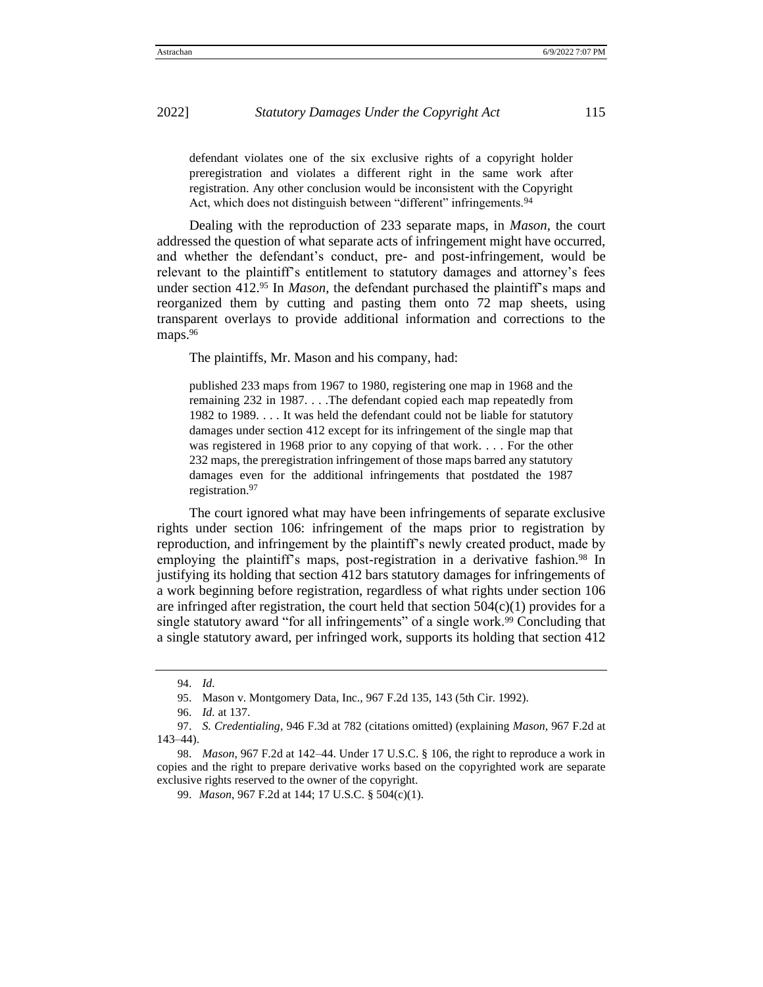defendant violates one of the six exclusive rights of a copyright holder preregistration and violates a different right in the same work after registration. Any other conclusion would be inconsistent with the Copyright Act, which does not distinguish between "different" infringements.<sup>94</sup>

Dealing with the reproduction of 233 separate maps, in *Mason,* the court addressed the question of what separate acts of infringement might have occurred, and whether the defendant's conduct, pre- and post-infringement, would be relevant to the plaintiff's entitlement to statutory damages and attorney's fees under section 412.<sup>95</sup> In *Mason*, the defendant purchased the plaintiff's maps and reorganized them by cutting and pasting them onto 72 map sheets, using transparent overlays to provide additional information and corrections to the maps.<sup>96</sup>

The plaintiffs, Mr. Mason and his company, had:

published 233 maps from 1967 to 1980, registering one map in 1968 and the remaining 232 in 1987. . . .The defendant copied each map repeatedly from 1982 to 1989. . . . It was held the defendant could not be liable for statutory damages under section 412 except for its infringement of the single map that was registered in 1968 prior to any copying of that work. . . . For the other 232 maps, the preregistration infringement of those maps barred any statutory damages even for the additional infringements that postdated the 1987 registration.<sup>97</sup>

The court ignored what may have been infringements of separate exclusive rights under section 106: infringement of the maps prior to registration by reproduction, and infringement by the plaintiff's newly created product, made by employing the plaintiff's maps, post-registration in a derivative fashion.<sup>98</sup> In justifying its holding that section 412 bars statutory damages for infringements of a work beginning before registration, regardless of what rights under section 106 are infringed after registration, the court held that section  $504(c)(1)$  provides for a single statutory award "for all infringements" of a single work.<sup>99</sup> Concluding that a single statutory award, per infringed work, supports its holding that section 412

<sup>94</sup>. *Id.*

<sup>95</sup>. Mason v. Montgomery Data, Inc., 967 F.2d 135, 143 (5th Cir. 1992).

<sup>96</sup>. *Id.* at 137.

<sup>97</sup>. *S. Credentialing*, 946 F.3d at 782 (citations omitted) (explaining *Mason*, 967 F.2d at 143–44).

<sup>98</sup>. *Mason*, 967 F.2d at 142–44. Under 17 U.S.C. § 106, the right to reproduce a work in copies and the right to prepare derivative works based on the copyrighted work are separate exclusive rights reserved to the owner of the copyright.

<sup>99</sup>. *Mason*, 967 F.2d at 144; 17 U.S.C. § 504(c)(1).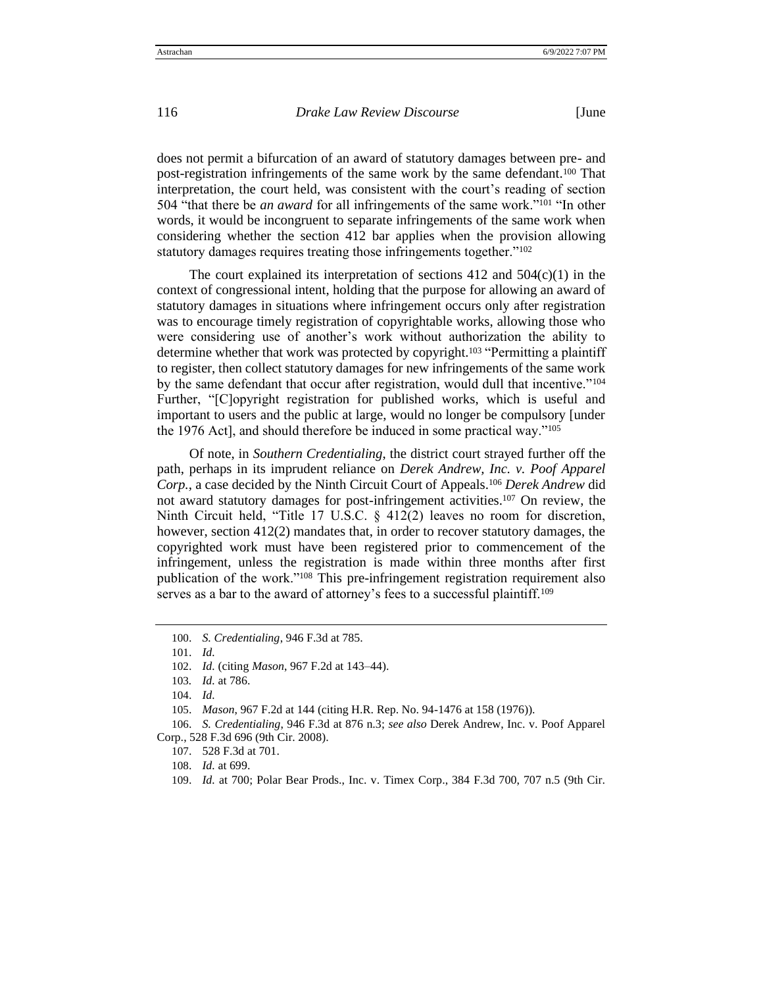does not permit a bifurcation of an award of statutory damages between pre- and post-registration infringements of the same work by the same defendant.<sup>100</sup> That interpretation, the court held, was consistent with the court's reading of section 504 "that there be *an award* for all infringements of the same work."<sup>101</sup> "In other words, it would be incongruent to separate infringements of the same work when considering whether the section 412 bar applies when the provision allowing statutory damages requires treating those infringements together."<sup>102</sup>

The court explained its interpretation of sections  $412$  and  $504(c)(1)$  in the context of congressional intent, holding that the purpose for allowing an award of statutory damages in situations where infringement occurs only after registration was to encourage timely registration of copyrightable works, allowing those who were considering use of another's work without authorization the ability to determine whether that work was protected by copyright.<sup>103</sup> "Permitting a plaintiff to register, then collect statutory damages for new infringements of the same work by the same defendant that occur after registration, would dull that incentive."<sup>104</sup> Further, "[C]opyright registration for published works, which is useful and important to users and the public at large, would no longer be compulsory [under the 1976 Act], and should therefore be induced in some practical way."<sup>105</sup>

Of note, in *Southern Credentialing*, the district court strayed further off the path, perhaps in its imprudent reliance on *Derek Andrew, Inc. v. Poof Apparel Corp.*, a case decided by the Ninth Circuit Court of Appeals.<sup>106</sup> *Derek Andrew* did not award statutory damages for post-infringement activities.<sup>107</sup> On review, the Ninth Circuit held, "Title 17 U.S.C. § 412(2) leaves no room for discretion, however, section 412(2) mandates that, in order to recover statutory damages, the copyrighted work must have been registered prior to commencement of the infringement, unless the registration is made within three months after first publication of the work."<sup>108</sup> This pre-infringement registration requirement also serves as a bar to the award of attorney's fees to a successful plaintiff.<sup>109</sup>

<sup>100</sup>. *S. Credentialing*, 946 F.3d at 785.

<sup>101</sup>. *Id.*

<sup>102</sup>. *Id.* (citing *Mason*, 967 F.2d at 143–44).

<sup>103</sup>*. Id.* at 786.

<sup>104</sup>. *Id.*

<sup>105</sup>. *Mason*, 967 F.2d at 144 (citing H.R. Rep. No. 94-1476 at 158 (1976)).

<sup>106</sup>. *S. Credentialing*, 946 F.3d at 876 n.3; *see also* Derek Andrew, Inc. v. Poof Apparel Corp., 528 F.3d 696 (9th Cir. 2008).

<sup>107</sup>. 528 F.3d at 701.

<sup>108</sup>. *Id.* at 699.

<sup>109</sup>. *Id.* at 700; Polar Bear Prods., Inc. v. Timex Corp., 384 F.3d 700, 707 n.5 (9th Cir.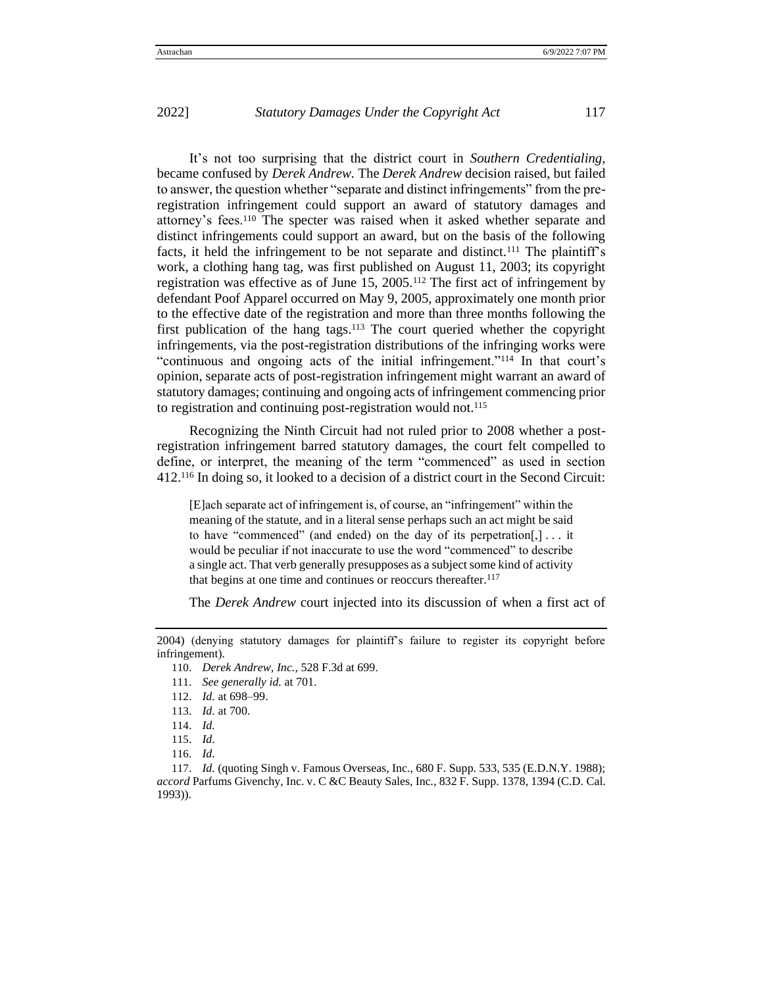It's not too surprising that the district court in *Southern Credentialing,*  became confused by *Derek Andrew.* The *Derek Andrew* decision raised, but failed to answer, the question whether "separate and distinct infringements" from the preregistration infringement could support an award of statutory damages and attorney's fees.<sup>110</sup> The specter was raised when it asked whether separate and distinct infringements could support an award, but on the basis of the following facts, it held the infringement to be not separate and distinct.<sup>111</sup> The plaintiff's work, a clothing hang tag, was first published on August 11, 2003; its copyright registration was effective as of June 15, 2005.<sup>112</sup> The first act of infringement by defendant Poof Apparel occurred on May 9, 2005, approximately one month prior to the effective date of the registration and more than three months following the first publication of the hang tags.<sup>113</sup> The court queried whether the copyright infringements, via the post-registration distributions of the infringing works were "continuous and ongoing acts of the initial infringement."<sup>114</sup> In that court's opinion, separate acts of post-registration infringement might warrant an award of statutory damages; continuing and ongoing acts of infringement commencing prior to registration and continuing post-registration would not.<sup>115</sup>

Recognizing the Ninth Circuit had not ruled prior to 2008 whether a postregistration infringement barred statutory damages, the court felt compelled to define, or interpret, the meaning of the term "commenced" as used in section 412.<sup>116</sup> In doing so, it looked to a decision of a district court in the Second Circuit:

[E]ach separate act of infringement is, of course, an "infringement" within the meaning of the statute, and in a literal sense perhaps such an act might be said to have "commenced" (and ended) on the day of its perpetration[,]  $\dots$  it would be peculiar if not inaccurate to use the word "commenced" to describe a single act. That verb generally presupposes as a subject some kind of activity that begins at one time and continues or reoccurs thereafter.<sup>117</sup>

The *Derek Andrew* court injected into its discussion of when a first act of

<sup>2004)</sup> (denying statutory damages for plaintiff's failure to register its copyright before infringement).

<sup>110</sup>. *Derek Andrew, Inc.*, 528 F.3d at 699.

<sup>111</sup>. *See generally id.* at 701.

<sup>112</sup>. *Id.* at 698–99.

<sup>113</sup>. *Id.* at 700.

<sup>114</sup>. *Id.*

<sup>115</sup>. *Id.*

<sup>116</sup>. *Id.*

<sup>117</sup>. *Id.* (quoting Singh v. Famous Overseas, Inc., 680 F. Supp. 533, 535 (E.D.N.Y. 1988); *accord* Parfums Givenchy, Inc. v. C &C Beauty Sales, Inc*.*, 832 F. Supp. 1378, 1394 (C.D. Cal. 1993)).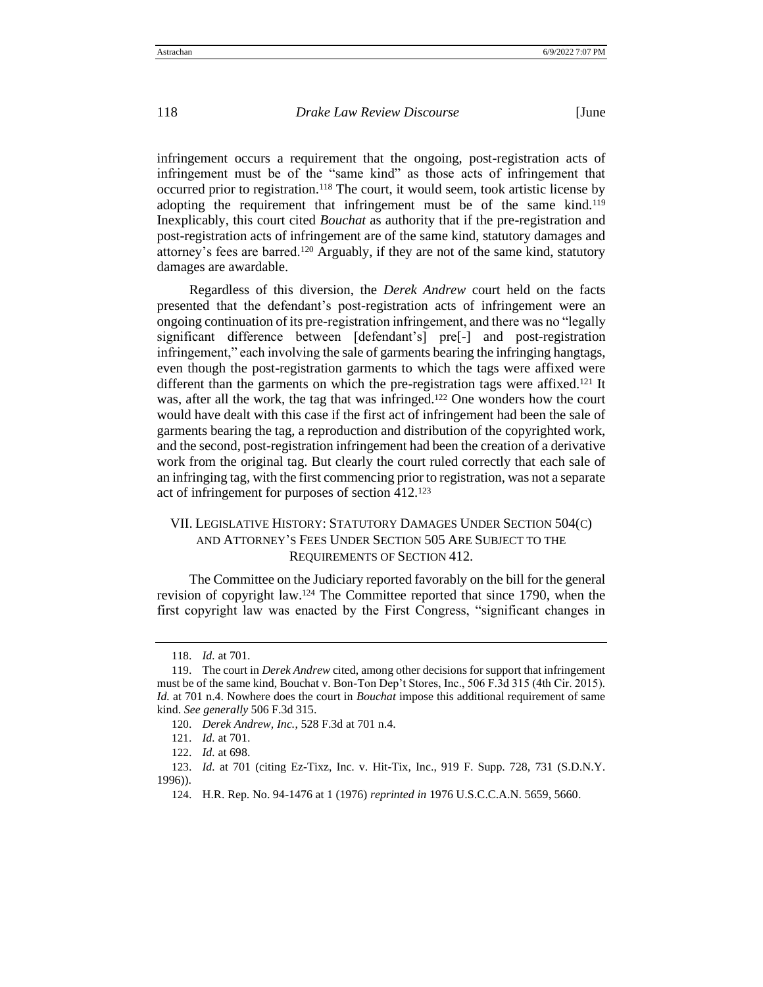infringement occurs a requirement that the ongoing, post-registration acts of infringement must be of the "same kind" as those acts of infringement that occurred prior to registration.<sup>118</sup> The court, it would seem, took artistic license by adopting the requirement that infringement must be of the same kind.<sup>119</sup> Inexplicably, this court cited *Bouchat* as authority that if the pre-registration and post-registration acts of infringement are of the same kind, statutory damages and attorney's fees are barred.<sup>120</sup> Arguably, if they are not of the same kind, statutory damages are awardable.

Regardless of this diversion, the *Derek Andrew* court held on the facts presented that the defendant's post-registration acts of infringement were an ongoing continuation of its pre-registration infringement, and there was no "legally significant difference between [defendant's] pre[-] and post-registration infringement," each involving the sale of garments bearing the infringing hangtags, even though the post-registration garments to which the tags were affixed were different than the garments on which the pre-registration tags were affixed.<sup>121</sup> It was, after all the work, the tag that was infringed.<sup>122</sup> One wonders how the court would have dealt with this case if the first act of infringement had been the sale of garments bearing the tag, a reproduction and distribution of the copyrighted work, and the second, post-registration infringement had been the creation of a derivative work from the original tag. But clearly the court ruled correctly that each sale of an infringing tag, with the first commencing prior to registration, was not a separate act of infringement for purposes of section 412.<sup>123</sup>

# VII. LEGISLATIVE HISTORY: STATUTORY DAMAGES UNDER SECTION 504(C) AND ATTORNEY'S FEES UNDER SECTION 505 ARE SUBJECT TO THE REQUIREMENTS OF SECTION 412.

The Committee on the Judiciary reported favorably on the bill for the general revision of copyright law.<sup>124</sup> The Committee reported that since 1790, when the first copyright law was enacted by the First Congress, "significant changes in

<sup>118</sup>. *Id.* at 701.

<sup>119</sup>. The court in *Derek Andrew* cited, among other decisions for support that infringement must be of the same kind, Bouchat v. Bon-Ton Dep't Stores, Inc., 506 F.3d 315 (4th Cir. 2015). *Id.* at 701 n.4. Nowhere does the court in *Bouchat* impose this additional requirement of same kind. *See generally* 506 F.3d 315.

<sup>120</sup>. *Derek Andrew, Inc.*, 528 F.3d at 701 n.4.

<sup>121</sup>. *Id.* at 701.

<sup>122</sup>. *Id.* at 698.

<sup>123</sup>. *Id.* at 701 (citing Ez-Tixz, Inc. v. Hit-Tix, Inc., 919 F. Supp. 728, 731 (S.D.N.Y. 1996)).

<sup>124</sup>. H.R. Rep. No. 94-1476 at 1 (1976) *reprinted in* 1976 U.S.C.C.A.N. 5659, 5660.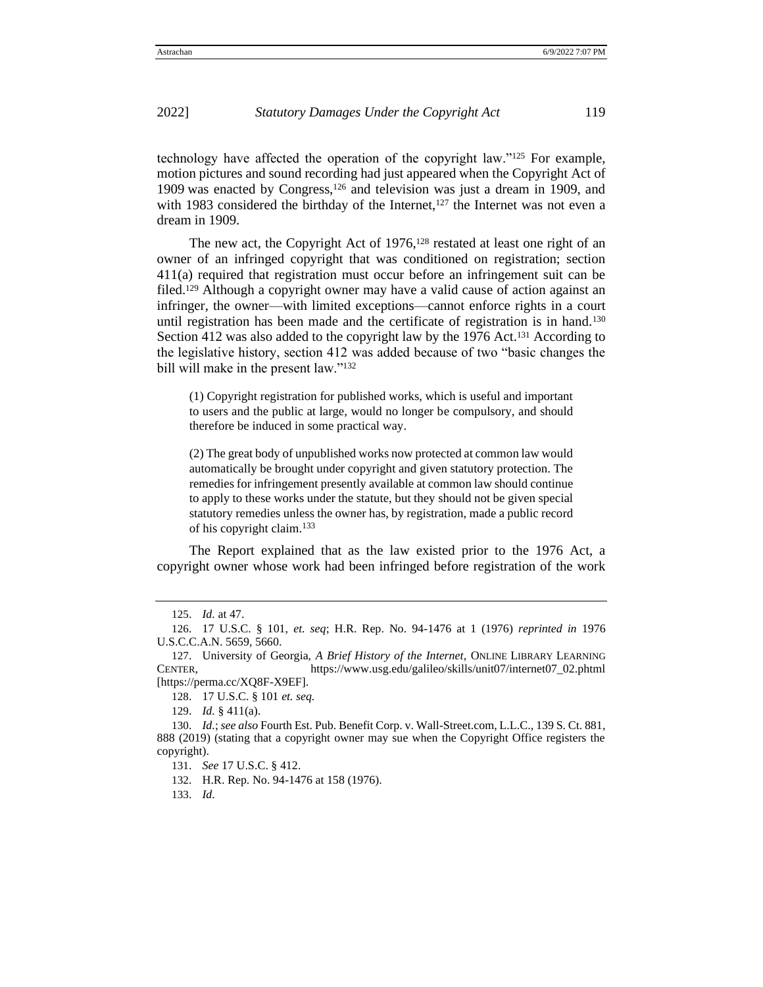technology have affected the operation of the copyright law." $125$  For example, motion pictures and sound recording had just appeared when the Copyright Act of 1909 was enacted by Congress,<sup>126</sup> and television was just a dream in 1909, and with 1983 considered the birthday of the Internet, $127$  the Internet was not even a dream in 1909.

The new act, the Copyright Act of 1976,<sup>128</sup> restated at least one right of an owner of an infringed copyright that was conditioned on registration; section 411(a) required that registration must occur before an infringement suit can be filed.<sup>129</sup> Although a copyright owner may have a valid cause of action against an infringer, the owner—with limited exceptions—cannot enforce rights in a court until registration has been made and the certificate of registration is in hand.<sup>130</sup> Section 412 was also added to the copyright law by the 1976 Act.<sup>131</sup> According to the legislative history, section 412 was added because of two "basic changes the bill will make in the present law."<sup>132</sup>

(1) Copyright registration for published works, which is useful and important to users and the public at large, would no longer be compulsory, and should therefore be induced in some practical way.

(2) The great body of unpublished works now protected at common law would automatically be brought under copyright and given statutory protection. The remedies for infringement presently available at common law should continue to apply to these works under the statute, but they should not be given special statutory remedies unless the owner has, by registration, made a public record of his copyright claim.<sup>133</sup>

The Report explained that as the law existed prior to the 1976 Act, a copyright owner whose work had been infringed before registration of the work

<sup>125</sup>. *Id.* at 47.

<sup>126</sup>. 17 U.S.C. § 101, *et. seq*; H.R. Rep. No. 94-1476 at 1 (1976) *reprinted in* 1976 U.S.C.C.A.N. 5659, 5660.

<sup>127</sup>. University of Georgia, *A Brief History of the Internet*, ONLINE LIBRARY LEARNING CENTER, https://www.usg.edu/galileo/skills/unit07/internet07\_02.phtml [https://perma.cc/XQ8F-X9EF].

<sup>128</sup>. 17 U.S.C. § 101 *et. seq.*

<sup>129</sup>. *Id.* § 411(a).

<sup>130</sup>. *Id.*; *see also* Fourth Est. Pub. Benefit Corp. v. Wall-Street.com, L.L.C., 139 S. Ct. 881, 888 (2019) (stating that a copyright owner may sue when the Copyright Office registers the copyright).

<sup>131</sup>. *See* 17 U.S.C. § 412.

<sup>132</sup>. H.R. Rep. No. 94-1476 at 158 (1976).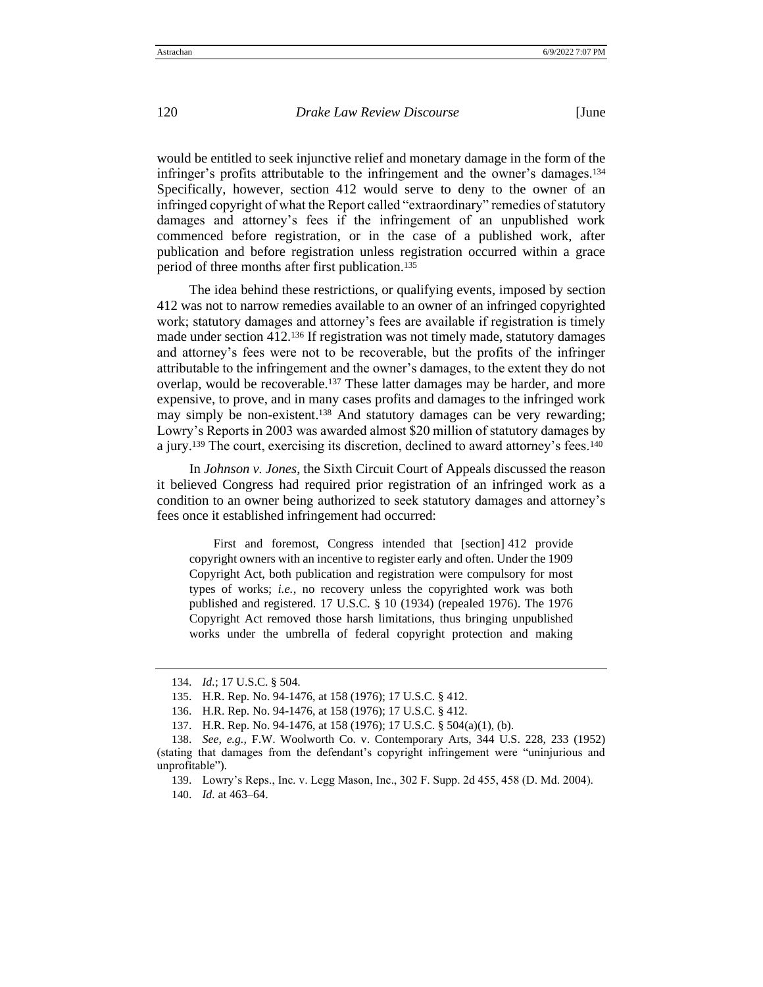would be entitled to seek injunctive relief and monetary damage in the form of the infringer's profits attributable to the infringement and the owner's damages.<sup>134</sup> Specifically, however, section 412 would serve to deny to the owner of an infringed copyright of what the Report called "extraordinary" remedies of statutory damages and attorney's fees if the infringement of an unpublished work commenced before registration, or in the case of a published work, after publication and before registration unless registration occurred within a grace period of three months after first publication.<sup>135</sup>

The idea behind these restrictions, or qualifying events, imposed by section 412 was not to narrow remedies available to an owner of an infringed copyrighted work; statutory damages and attorney's fees are available if registration is timely made under section  $412^{136}$  If registration was not timely made, statutory damages and attorney's fees were not to be recoverable, but the profits of the infringer attributable to the infringement and the owner's damages, to the extent they do not overlap, would be recoverable.<sup>137</sup> These latter damages may be harder, and more expensive, to prove, and in many cases profits and damages to the infringed work may simply be non-existent.<sup>138</sup> And statutory damages can be very rewarding; Lowry's Reports in 2003 was awarded almost \$20 million of statutory damages by a jury.<sup>139</sup> The court, exercising its discretion, declined to award attorney's fees.<sup>140</sup>

In *Johnson v. Jones*, the Sixth Circuit Court of Appeals discussed the reason it believed Congress had required prior registration of an infringed work as a condition to an owner being authorized to seek statutory damages and attorney's fees once it established infringement had occurred:

First and foremost, Congress intended that [section] 412 provide copyright owners with an incentive to register early and often. Under the 1909 Copyright Act, both publication and registration were compulsory for most types of works; *i.e.*, no recovery unless the copyrighted work was both published and registered. 17 U.S.C. § 10 (1934) (repealed 1976). The 1976 Copyright Act removed those harsh limitations, thus bringing unpublished works under the umbrella of federal copyright protection and making

<sup>134</sup>. *Id.*; 17 U.S.C. § 504.

<sup>135</sup>. H.R. Rep. No. 94-1476, at 158 (1976); 17 U.S.C. § 412.

<sup>136</sup>. H.R. Rep. No. 94-1476, at 158 (1976); 17 U.S.C. § 412.

<sup>137</sup>. H.R. Rep. No. 94-1476, at 158 (1976); 17 U.S.C. § 504(a)(1), (b).

<sup>138</sup>. *See, e.g.,* F.W. Woolworth Co. v. Contemporary Arts, 344 U.S. 228, 233 (1952) (stating that damages from the defendant's copyright infringement were "uninjurious and unprofitable").

<sup>139</sup>. Lowry's Reps., Inc. v. Legg Mason, Inc., 302 F. Supp. 2d 455, 458 (D. Md. 2004).

<sup>140</sup>. *Id.* at 463–64.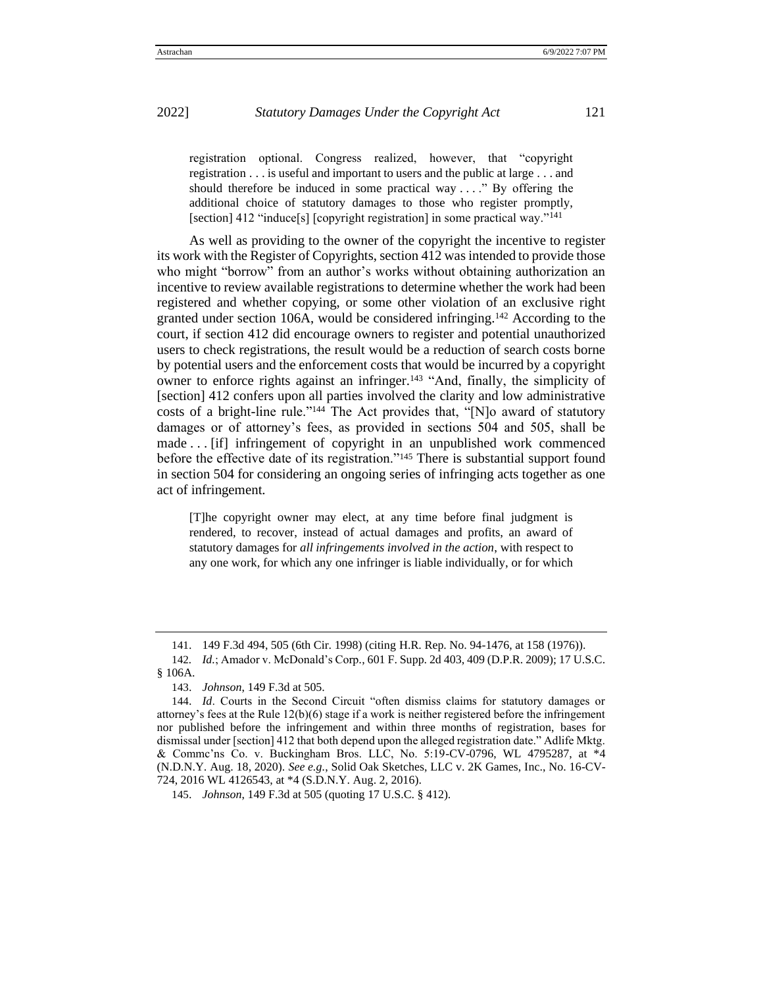registration optional. Congress realized, however, that "copyright registration . . . is useful and important to users and the public at large . . . and should therefore be induced in some practical way . . . ." By offering the additional choice of statutory damages to those who register promptly, [section] 412 "induce[s] [copyright registration] in some practical way."<sup>141</sup>

As well as providing to the owner of the copyright the incentive to register its work with the Register of Copyrights, section 412 was intended to provide those who might "borrow" from an author's works without obtaining authorization an incentive to review available registrations to determine whether the work had been registered and whether copying, or some other violation of an exclusive right granted under section 106A, would be considered infringing.<sup>142</sup> According to the court, if section 412 did encourage owners to register and potential unauthorized users to check registrations, the result would be a reduction of search costs borne by potential users and the enforcement costs that would be incurred by a copyright owner to enforce rights against an infringer.<sup>143</sup> "And, finally, the simplicity of [section] 412 confers upon all parties involved the clarity and low administrative costs of a bright-line rule."<sup>144</sup> The Act provides that, "[N]o award of statutory damages or of attorney's fees, as provided in sections 504 and 505, shall be made . . . [if] infringement of copyright in an unpublished work commenced before the effective date of its registration."<sup>145</sup> There is substantial support found in section 504 for considering an ongoing series of infringing acts together as one act of infringement.

[T]he copyright owner may elect, at any time before final judgment is rendered, to recover, instead of actual damages and profits, an award of statutory damages for *all infringements involved in the action*, with respect to any one work, for which any one infringer is liable individually, or for which

<sup>141</sup>. 149 F.3d 494, 505 (6th Cir. 1998) (citing H.R. Rep. No. 94-1476, at 158 (1976)).

<sup>142</sup>*. Id.*; Amador v. McDonald's Corp*.*, 601 F. Supp. 2d 403, 409 (D.P.R. 2009); 17 U.S.C. § 106A.

<sup>143</sup>. *Johnson*, 149 F.3d at 505.

<sup>144</sup>. *Id*. Courts in the Second Circuit "often dismiss claims for statutory damages or attorney's fees at the Rule 12(b)(6) stage if a work is neither registered before the infringement nor published before the infringement and within three months of registration, bases for dismissal under [section] 412 that both depend upon the alleged registration date." Adlife Mktg. & Commc'ns Co. v. Buckingham Bros. LLC, No. 5:19-CV-0796, WL 4795287, at \*4 (N.D.N.Y. Aug. 18, 2020). *See e.g.*, Solid Oak Sketches, LLC v. 2K Games, Inc., No. 16-CV-724, 2016 WL 4126543, at \*4 (S.D.N.Y. Aug. 2, 2016).

<sup>145</sup>. *Johnson*, 149 F.3d at 505 (quoting 17 U.S.C. § 412).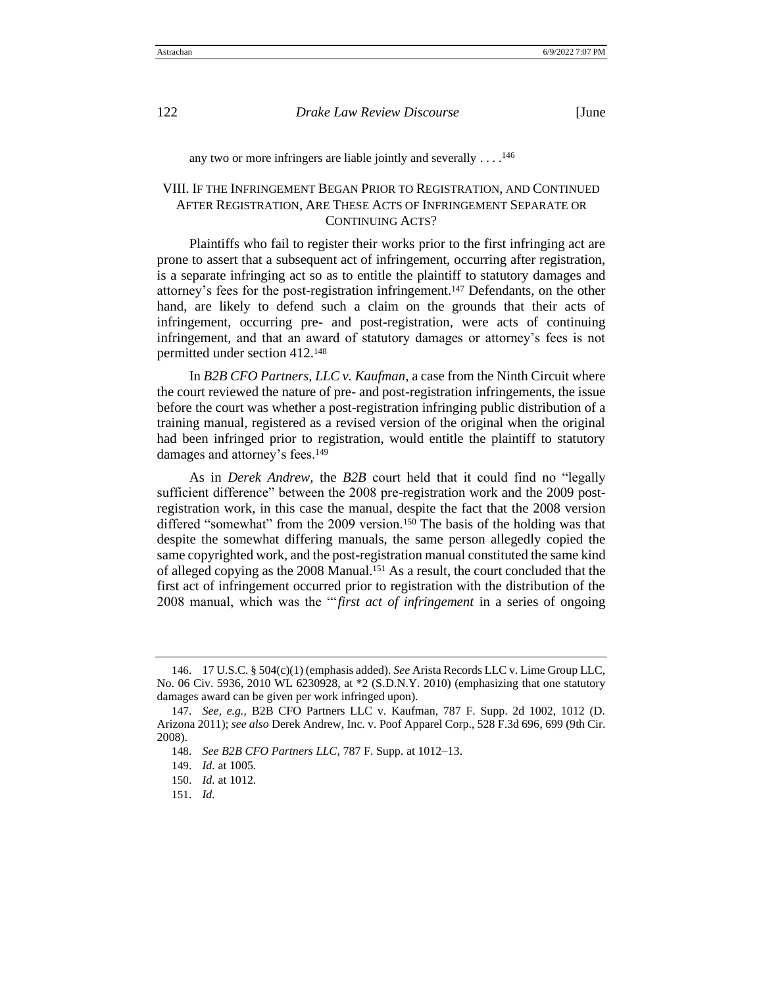any two or more infringers are liable jointly and severally  $\dots$ .<sup>146</sup>

# VIII. IF THE INFRINGEMENT BEGAN PRIOR TO REGISTRATION, AND CONTINUED AFTER REGISTRATION, ARE THESE ACTS OF INFRINGEMENT SEPARATE OR CONTINUING ACTS?

Plaintiffs who fail to register their works prior to the first infringing act are prone to assert that a subsequent act of infringement, occurring after registration, is a separate infringing act so as to entitle the plaintiff to statutory damages and attorney's fees for the post-registration infringement.<sup>147</sup> Defendants, on the other hand, are likely to defend such a claim on the grounds that their acts of infringement, occurring pre- and post-registration, were acts of continuing infringement, and that an award of statutory damages or attorney's fees is not permitted under section 412.<sup>148</sup>

In *B2B CFO Partners, LLC v. Kaufman*, a case from the Ninth Circuit where the court reviewed the nature of pre- and post-registration infringements, the issue before the court was whether a post-registration infringing public distribution of a training manual, registered as a revised version of the original when the original had been infringed prior to registration, would entitle the plaintiff to statutory damages and attorney's fees.<sup>149</sup>

As in *Derek Andrew,* the *B2B* court held that it could find no "legally sufficient difference" between the 2008 pre-registration work and the 2009 postregistration work, in this case the manual, despite the fact that the 2008 version differed "somewhat" from the 2009 version.<sup>150</sup> The basis of the holding was that despite the somewhat differing manuals, the same person allegedly copied the same copyrighted work, and the post-registration manual constituted the same kind of alleged copying as the 2008 Manual.<sup>151</sup> As a result, the court concluded that the first act of infringement occurred prior to registration with the distribution of the 2008 manual, which was the "'*first act of infringement* in a series of ongoing

<sup>146</sup>. 17 U.S.C. § 504(c)(1) (emphasis added). *See* Arista Records LLC v. Lime Group LLC, No. 06 Civ. 5936, 2010 WL 6230928, at \*2 (S.D.N.Y. 2010) (emphasizing that one statutory damages award can be given per work infringed upon).

<sup>147</sup>. *See, e.g.,* B2B CFO Partners LLC v. Kaufman, 787 F. Supp. 2d 1002, 1012 (D. Arizona 2011); *see also* Derek Andrew, Inc. v. Poof Apparel Corp., 528 F.3d 696, 699 (9th Cir. 2008).

<sup>148</sup>. *See B2B CFO Partners LLC*, 787 F. Supp. at 1012–13.

<sup>149</sup>. *Id.* at 1005.

<sup>150</sup>. *Id.* at 1012.

<sup>151</sup>. *Id.*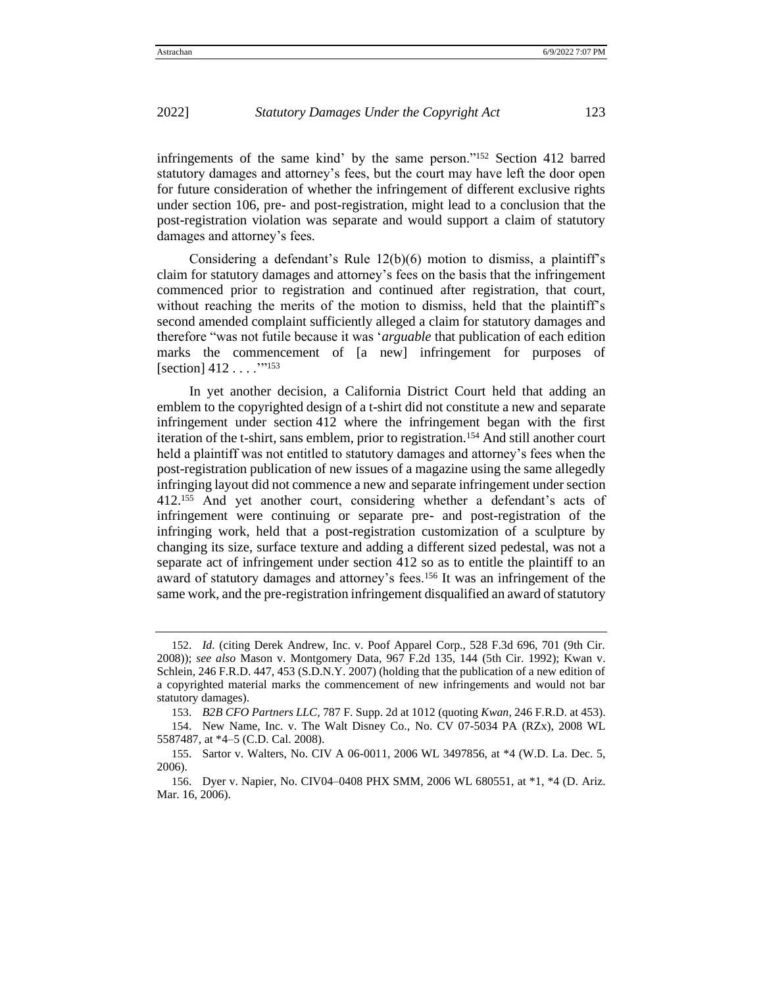infringements of the same kind' by the same person."<sup>152</sup> Section 412 barred statutory damages and attorney's fees, but the court may have left the door open for future consideration of whether the infringement of different exclusive rights under section 106, pre- and post-registration, might lead to a conclusion that the post-registration violation was separate and would support a claim of statutory damages and attorney's fees.

Considering a defendant's Rule 12(b)(6) motion to dismiss, a plaintiff's claim for statutory damages and attorney's fees on the basis that the infringement commenced prior to registration and continued after registration, that court, without reaching the merits of the motion to dismiss, held that the plaintiff's second amended complaint sufficiently alleged a claim for statutory damages and therefore "was not futile because it was '*arguable* that publication of each edition marks the commencement of [a new] infringement for purposes of [section] 412 . . . . "<sup>153</sup>

In yet another decision, a California District Court held that adding an emblem to the copyrighted design of a t-shirt did not constitute a new and separate infringement under section 412 where the infringement began with the first iteration of the t-shirt, sans emblem, prior to registration.<sup>154</sup> And still another court held a plaintiff was not entitled to statutory damages and attorney's fees when the post-registration publication of new issues of a magazine using the same allegedly infringing layout did not commence a new and separate infringement under section 412.<sup>155</sup> And yet another court, considering whether a defendant's acts of infringement were continuing or separate pre- and post-registration of the infringing work, held that a post-registration customization of a sculpture by changing its size, surface texture and adding a different sized pedestal, was not a separate act of infringement under section 412 so as to entitle the plaintiff to an award of statutory damages and attorney's fees.<sup>156</sup> It was an infringement of the same work, and the pre-registration infringement disqualified an award of statutory

<sup>152</sup>. *Id.* (citing Derek Andrew, Inc. v. Poof Apparel Corp., 528 F.3d 696, 701 (9th Cir. 2008)); *see also* Mason v. Montgomery Data*,* 967 F.2d 135, 144 (5th Cir. 1992); Kwan v. Schlein*,* 246 F.R.D. 447, 453 (S.D.N.Y. 2007) (holding that the publication of a new edition of a copyrighted material marks the commencement of new infringements and would not bar statutory damages).

<sup>153</sup>. *B2B CFO Partners LLC,* 787 F. Supp. 2d at 1012 (quoting *Kwan,* 246 F.R.D. at 453).

<sup>154</sup>. New Name, Inc. v. The Walt Disney Co., No. CV 07-5034 PA (RZx), 2008 WL 5587487, at \*4–5 (C.D. Cal. 2008).

<sup>155</sup>. Sartor v. Walters, No. CIV A 06-0011, 2006 WL 3497856, at \*4 (W.D. La. Dec. 5, 2006).

<sup>156</sup>. Dyer v. Napier, No. CIV04–0408 PHX SMM, 2006 WL 680551, at \*1, \*4 (D. Ariz. Mar. 16, 2006).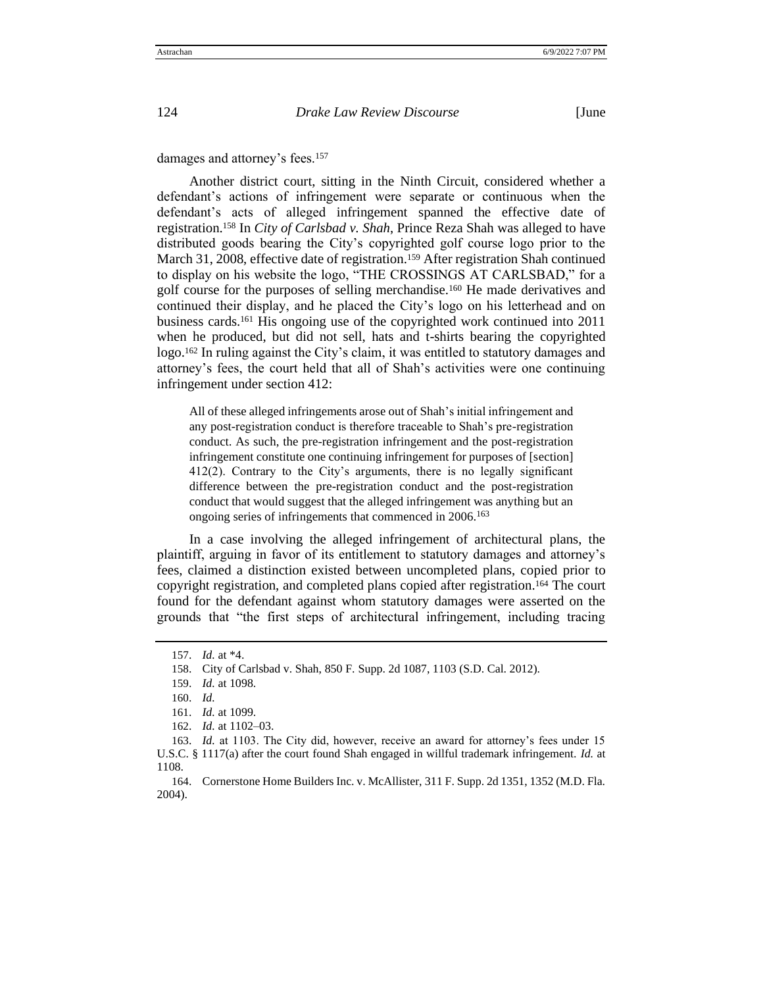damages and attorney's fees.<sup>157</sup>

Another district court, sitting in the Ninth Circuit, considered whether a defendant's actions of infringement were separate or continuous when the defendant's acts of alleged infringement spanned the effective date of registration.<sup>158</sup> In *City of Carlsbad v. Shah*, Prince Reza Shah was alleged to have distributed goods bearing the City's copyrighted golf course logo prior to the March 31, 2008, effective date of registration.<sup>159</sup> After registration Shah continued to display on his website the logo, "THE CROSSINGS AT CARLSBAD," for a golf course for the purposes of selling merchandise.<sup>160</sup> He made derivatives and continued their display, and he placed the City's logo on his letterhead and on business cards.<sup>161</sup> His ongoing use of the copyrighted work continued into 2011 when he produced, but did not sell, hats and t-shirts bearing the copyrighted logo.<sup>162</sup> In ruling against the City's claim, it was entitled to statutory damages and attorney's fees, the court held that all of Shah's activities were one continuing infringement under section 412:

All of these alleged infringements arose out of Shah's initial infringement and any post-registration conduct is therefore traceable to Shah's pre-registration conduct. As such, the pre-registration infringement and the post-registration infringement constitute one continuing infringement for purposes of [section] 412(2). Contrary to the City's arguments, there is no legally significant difference between the pre-registration conduct and the post-registration conduct that would suggest that the alleged infringement was anything but an ongoing series of infringements that commenced in 2006.<sup>163</sup>

In a case involving the alleged infringement of architectural plans, the plaintiff, arguing in favor of its entitlement to statutory damages and attorney's fees, claimed a distinction existed between uncompleted plans, copied prior to copyright registration, and completed plans copied after registration.<sup>164</sup> The court found for the defendant against whom statutory damages were asserted on the grounds that "the first steps of architectural infringement, including tracing

<sup>157</sup>. *Id.* at \*4.

<sup>158</sup>. City of Carlsbad v. Shah, 850 F. Supp. 2d 1087, 1103 (S.D. Cal. 2012).

<sup>159</sup>. *Id.* at 1098.

<sup>160</sup>. *Id.*

<sup>161</sup>. *Id.* at 1099.

<sup>162</sup>. *Id.* at 1102–03.

<sup>163</sup>. *Id.* at 1103. The City did, however, receive an award for attorney's fees under 15 U.S.C. § 1117(a) after the court found Shah engaged in willful trademark infringement. *Id.* at 1108.

<sup>164</sup>. Cornerstone Home Builders Inc. v. McAllister, 311 F. Supp. 2d 1351, 1352 (M.D. Fla. 2004).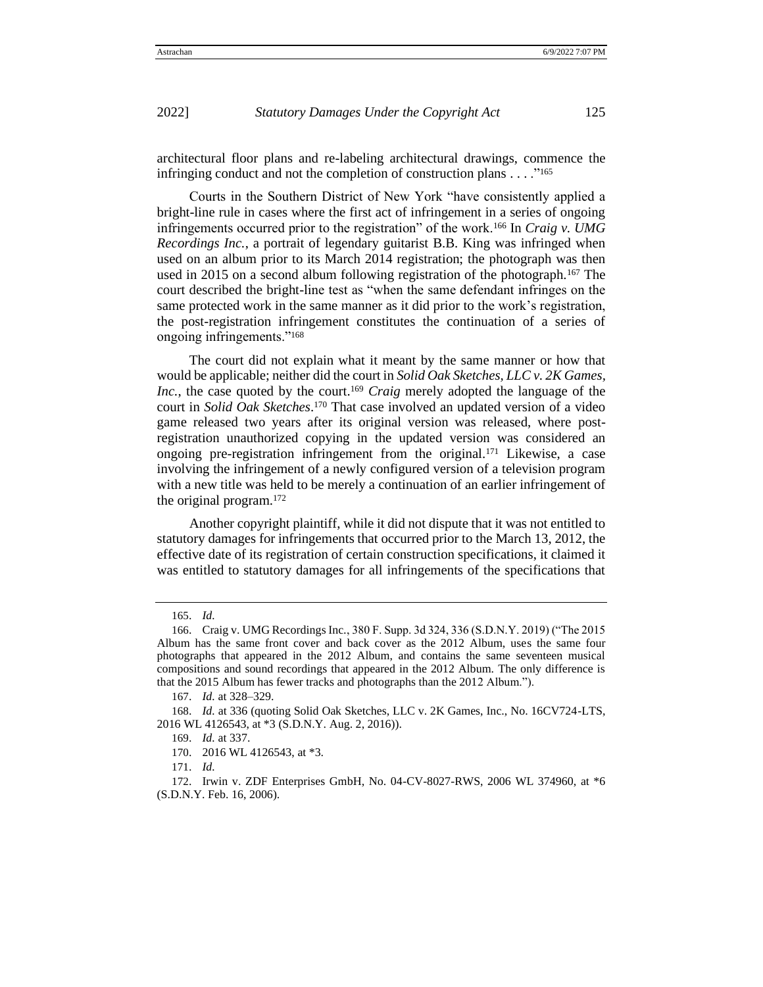architectural floor plans and re-labeling architectural drawings, commence the infringing conduct and not the completion of construction plans . . . ."<sup>165</sup>

Courts in the Southern District of New York "have consistently applied a bright-line rule in cases where the first act of infringement in a series of ongoing infringements occurred prior to the registration" of the work.<sup>166</sup> In *Craig v. UMG Recordings Inc.*, a portrait of legendary guitarist B.B. King was infringed when used on an album prior to its March 2014 registration; the photograph was then used in 2015 on a second album following registration of the photograph.<sup>167</sup> The court described the bright-line test as "when the same defendant infringes on the same protected work in the same manner as it did prior to the work's registration, the post-registration infringement constitutes the continuation of a series of ongoing infringements."<sup>168</sup>

The court did not explain what it meant by the same manner or how that would be applicable; neither did the court in *Solid Oak Sketches, LLC v. 2K Games, Inc.*, the case quoted by the court.<sup>169</sup> *Craig* merely adopted the language of the court in *Solid Oak Sketches*. <sup>170</sup> That case involved an updated version of a video game released two years after its original version was released, where postregistration unauthorized copying in the updated version was considered an ongoing pre-registration infringement from the original.<sup>171</sup> Likewise, a case involving the infringement of a newly configured version of a television program with a new title was held to be merely a continuation of an earlier infringement of the original program.<sup>172</sup>

Another copyright plaintiff, while it did not dispute that it was not entitled to statutory damages for infringements that occurred prior to the March 13, 2012, the effective date of its registration of certain construction specifications, it claimed it was entitled to statutory damages for all infringements of the specifications that

<sup>165</sup>. *Id.*

<sup>166</sup>. Craig v. UMG Recordings Inc*.*, 380 F. Supp. 3d 324, 336 (S.D.N.Y. 2019) ("The 2015 Album has the same front cover and back cover as the 2012 Album, uses the same four photographs that appeared in the 2012 Album, and contains the same seventeen musical compositions and sound recordings that appeared in the 2012 Album. The only difference is that the 2015 Album has fewer tracks and photographs than the 2012 Album.").

<sup>167</sup>. *Id.* at 328–329.

<sup>168</sup>. *Id.* at 336 (quoting Solid Oak Sketches, LLC v. 2K Games, Inc., No. 16CV724-LTS, 2016 WL 4126543, at \*3 (S.D.N.Y. Aug. 2, 2016)).

<sup>169</sup>. *Id.* at 337.

<sup>170</sup>. 2016 WL 4126543, at \*3.

<sup>171</sup>. *Id.*

<sup>172</sup>. Irwin v. ZDF Enterprises GmbH, No. 04-CV-8027-RWS, 2006 WL 374960, at \*6 (S.D.N.Y. Feb. 16, 2006).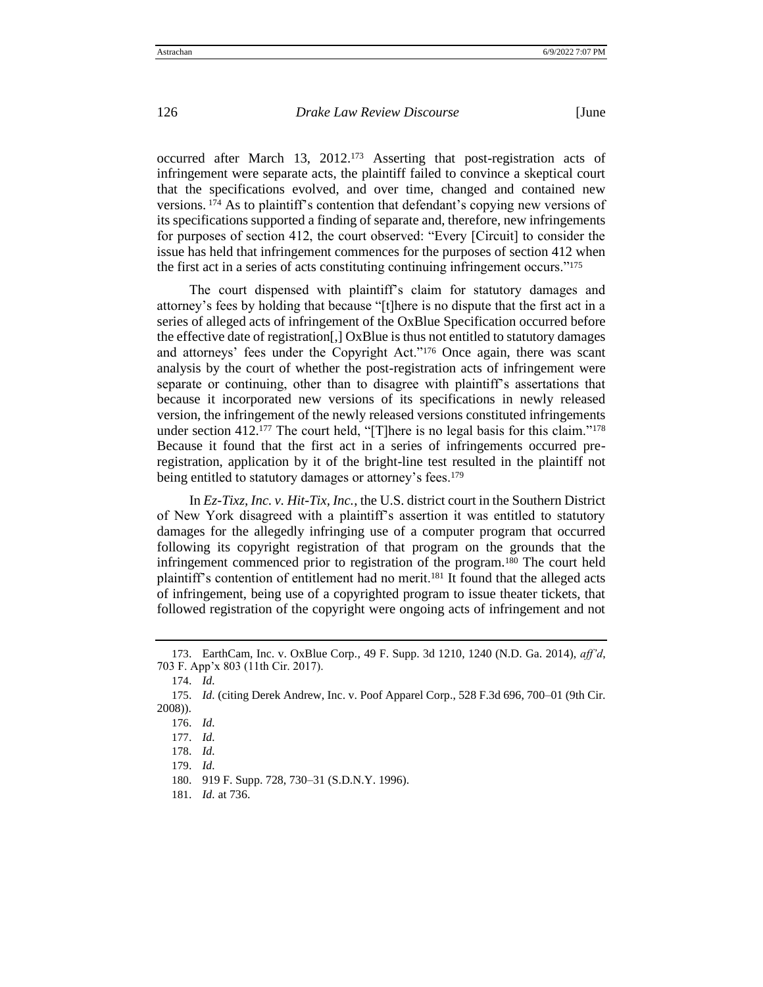occurred after March 13, 2012.<sup>173</sup> Asserting that post-registration acts of infringement were separate acts, the plaintiff failed to convince a skeptical court that the specifications evolved, and over time, changed and contained new versions. <sup>174</sup> As to plaintiff's contention that defendant's copying new versions of its specifications supported a finding of separate and, therefore, new infringements for purposes of section 412, the court observed: "Every [Circuit] to consider the issue has held that infringement commences for the purposes of section 412 when the first act in a series of acts constituting continuing infringement occurs."<sup>175</sup>

The court dispensed with plaintiff's claim for statutory damages and attorney's fees by holding that because "[t]here is no dispute that the first act in a series of alleged acts of infringement of the OxBlue Specification occurred before the effective date of registration[,] OxBlue is thus not entitled to statutory damages and attorneys' fees under the Copyright Act."<sup>176</sup> Once again, there was scant analysis by the court of whether the post-registration acts of infringement were separate or continuing, other than to disagree with plaintiff's assertations that because it incorporated new versions of its specifications in newly released version, the infringement of the newly released versions constituted infringements under section 412.<sup>177</sup> The court held, "[T]here is no legal basis for this claim."<sup>178</sup> Because it found that the first act in a series of infringements occurred preregistration, application by it of the bright-line test resulted in the plaintiff not being entitled to statutory damages or attorney's fees.<sup>179</sup>

In *Ez-Tixz, Inc. v. Hit-Tix, Inc.*, the U.S. district court in the Southern District of New York disagreed with a plaintiff's assertion it was entitled to statutory damages for the allegedly infringing use of a computer program that occurred following its copyright registration of that program on the grounds that the infringement commenced prior to registration of the program.<sup>180</sup> The court held plaintiff's contention of entitlement had no merit.<sup>181</sup> It found that the alleged acts of infringement, being use of a copyrighted program to issue theater tickets, that followed registration of the copyright were ongoing acts of infringement and not

<sup>173</sup>. EarthCam, Inc. v. OxBlue Corp*.,* 49 F. Supp. 3d 1210, 1240 (N.D. Ga. 2014), *aff'd*, 703 F. App'x 803 (11th Cir. 2017).

<sup>174</sup>. *Id.*

<sup>175</sup>. *Id.* (citing Derek Andrew, Inc. v. Poof Apparel Corp., 528 F.3d 696, 700–01 (9th Cir. 2008)).

<sup>176</sup>. *Id.*

<sup>177</sup>. *Id.* 

<sup>178</sup>. *Id.*

<sup>179</sup>. *Id.*

<sup>180</sup>. 919 F. Supp. 728, 730–31 (S.D.N.Y. 1996).

<sup>181</sup>. *Id.* at 736.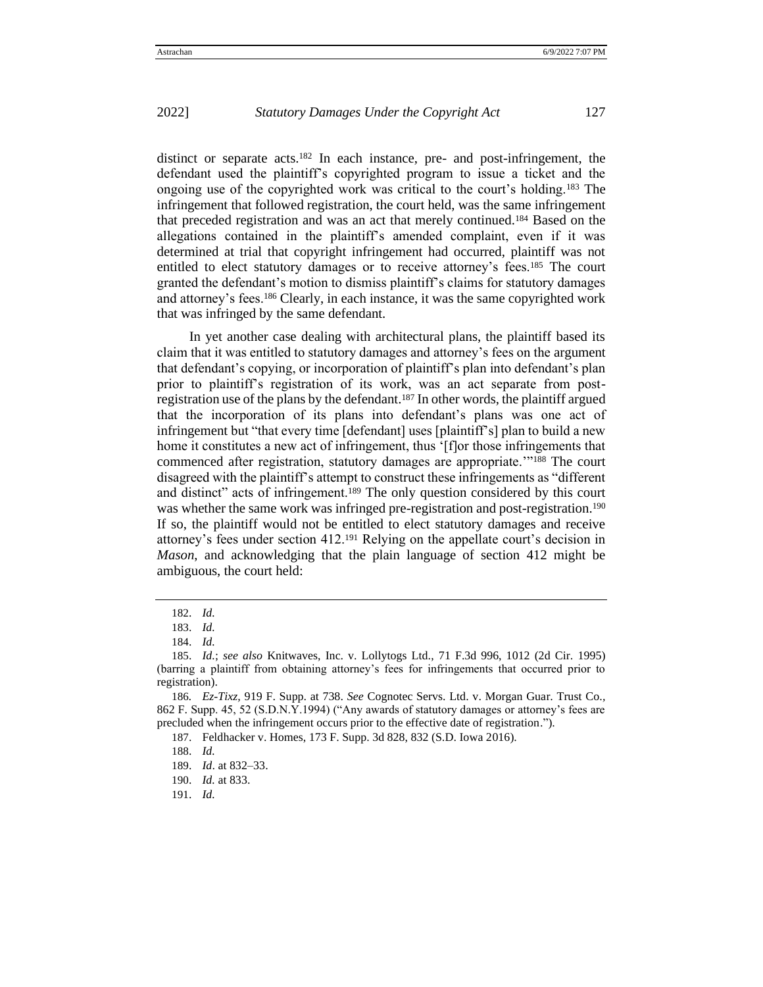distinct or separate acts.<sup>182</sup> In each instance, pre- and post-infringement, the defendant used the plaintiff's copyrighted program to issue a ticket and the ongoing use of the copyrighted work was critical to the court's holding.<sup>183</sup> The infringement that followed registration, the court held, was the same infringement that preceded registration and was an act that merely continued.<sup>184</sup> Based on the allegations contained in the plaintiff's amended complaint, even if it was determined at trial that copyright infringement had occurred, plaintiff was not entitled to elect statutory damages or to receive attorney's fees.<sup>185</sup> The court granted the defendant's motion to dismiss plaintiff's claims for statutory damages and attorney's fees.<sup>186</sup> Clearly, in each instance, it was the same copyrighted work that was infringed by the same defendant.

In yet another case dealing with architectural plans, the plaintiff based its claim that it was entitled to statutory damages and attorney's fees on the argument that defendant's copying, or incorporation of plaintiff's plan into defendant's plan prior to plaintiff's registration of its work, was an act separate from postregistration use of the plans by the defendant.<sup>187</sup> In other words, the plaintiff argued that the incorporation of its plans into defendant's plans was one act of infringement but "that every time [defendant] uses [plaintiff's] plan to build a new home it constitutes a new act of infringement, thus '[f]or those infringements that commenced after registration, statutory damages are appropriate.'"<sup>188</sup> The court disagreed with the plaintiff's attempt to construct these infringements as "different and distinct" acts of infringement.<sup>189</sup> The only question considered by this court was whether the same work was infringed pre-registration and post-registration.<sup>190</sup> If so, the plaintiff would not be entitled to elect statutory damages and receive attorney's fees under section  $412^{191}$  Relying on the appellate court's decision in *Mason*, and acknowledging that the plain language of section 412 might be ambiguous, the court held:

<sup>182</sup>. *Id.* 

<sup>183</sup>. *Id.*

<sup>184</sup>. *Id.* 

<sup>185</sup>. *Id.*; *see also* Knitwaves, Inc. v. Lollytogs Ltd., 71 F.3d 996, 1012 (2d Cir. 1995) (barring a plaintiff from obtaining attorney's fees for infringements that occurred prior to registration).

<sup>186</sup>*. Ez-Tixz,* 919 F. Supp. at 738. *See* Cognotec Servs. Ltd. v. Morgan Guar. Trust Co.*,* 862 F. Supp. 45, 52 (S.D.N.Y.1994) ("Any awards of statutory damages or attorney's fees are precluded when the infringement occurs prior to the effective date of registration.").

<sup>187</sup>. Feldhacker v. Homes, 173 F. Supp. 3d 828, 832 (S.D. Iowa 2016).

<sup>188</sup>. *Id.*

<sup>189</sup>. *Id*. at 832–33.

<sup>190</sup>. *Id.* at 833.

<sup>191</sup>. *Id.*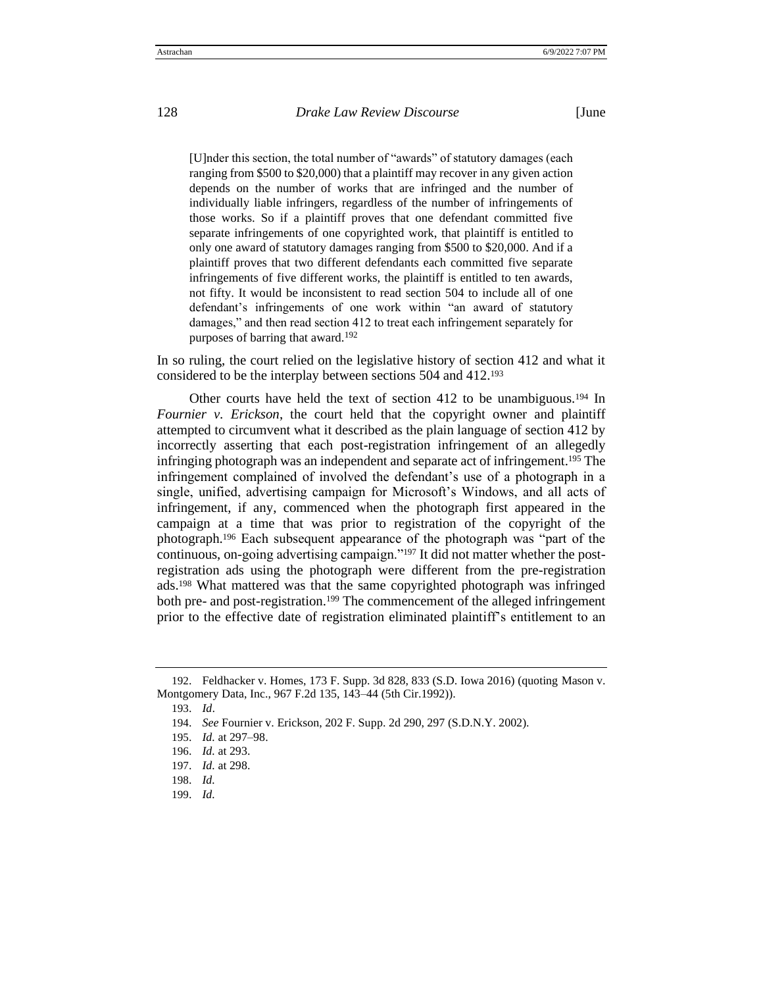[U]nder this section, the total number of "awards" of statutory damages (each ranging from \$500 to \$20,000) that a plaintiff may recover in any given action depends on the number of works that are infringed and the number of individually liable infringers, regardless of the number of infringements of those works. So if a plaintiff proves that one defendant committed five separate infringements of one copyrighted work, that plaintiff is entitled to only one award of statutory damages ranging from \$500 to \$20,000. And if a plaintiff proves that two different defendants each committed five separate infringements of five different works, the plaintiff is entitled to ten awards, not fifty. It would be inconsistent to read section 504 to include all of one defendant's infringements of one work within "an award of statutory damages," and then read section 412 to treat each infringement separately for purposes of barring that award.<sup>192</sup>

In so ruling, the court relied on the legislative history of section 412 and what it considered to be the interplay between sections 504 and 412.<sup>193</sup>

Other courts have held the text of section 412 to be unambiguous.<sup>194</sup> In *Fournier v. Erickson*, the court held that the copyright owner and plaintiff attempted to circumvent what it described as the plain language of section 412 by incorrectly asserting that each post-registration infringement of an allegedly infringing photograph was an independent and separate act of infringement.<sup>195</sup> The infringement complained of involved the defendant's use of a photograph in a single, unified, advertising campaign for Microsoft's Windows, and all acts of infringement, if any, commenced when the photograph first appeared in the campaign at a time that was prior to registration of the copyright of the photograph.<sup>196</sup> Each subsequent appearance of the photograph was "part of the continuous, on-going advertising campaign."<sup>197</sup> It did not matter whether the postregistration ads using the photograph were different from the pre-registration ads.<sup>198</sup> What mattered was that the same copyrighted photograph was infringed both pre- and post-registration.<sup>199</sup> The commencement of the alleged infringement prior to the effective date of registration eliminated plaintiff's entitlement to an

<sup>192</sup>. Feldhacker v. Homes, 173 F. Supp. 3d 828, 833 (S.D. Iowa 2016) (quoting Mason v. Montgomery Data, Inc., 967 F.2d 135, 143–44 (5th Cir.1992)).

<sup>193</sup>. *Id*.

<sup>194</sup>. *See* Fournier v. Erickson, 202 F. Supp. 2d 290, 297 (S.D.N.Y. 2002).

<sup>195</sup>. *Id.* at 297–98.

<sup>196</sup>. *Id.* at 293.

<sup>197</sup>. *Id.* at 298.

<sup>198</sup>. *Id.*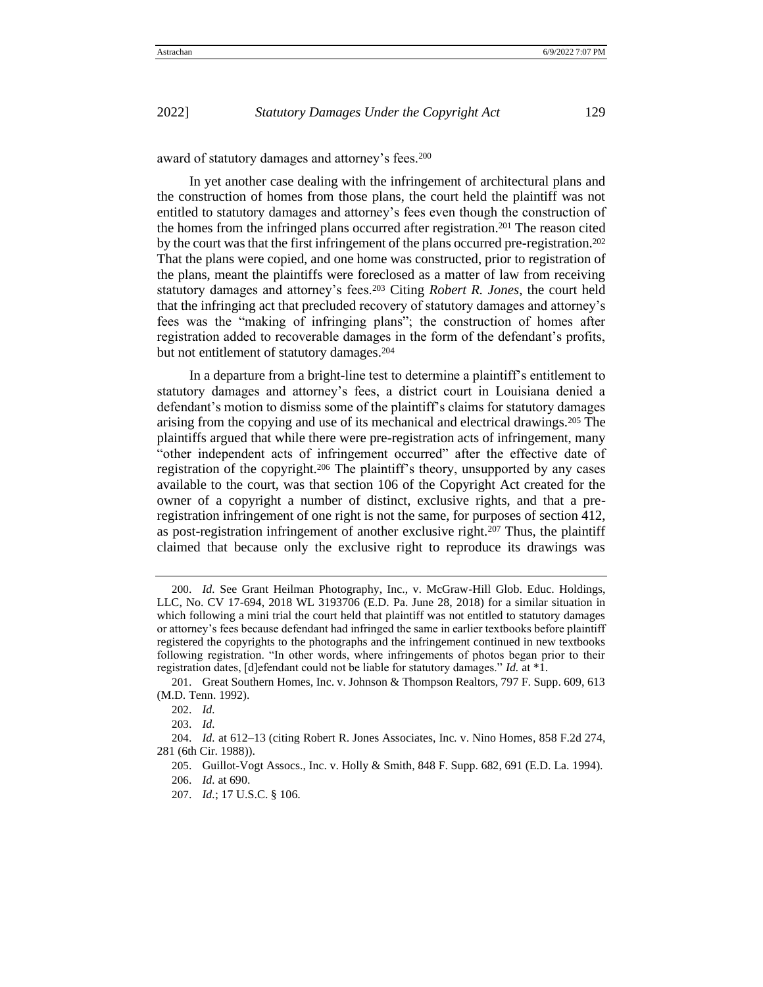award of statutory damages and attorney's fees.<sup>200</sup>

In yet another case dealing with the infringement of architectural plans and the construction of homes from those plans, the court held the plaintiff was not entitled to statutory damages and attorney's fees even though the construction of the homes from the infringed plans occurred after registration.<sup>201</sup> The reason cited by the court was that the first infringement of the plans occurred pre-registration.<sup>202</sup> That the plans were copied, and one home was constructed, prior to registration of the plans, meant the plaintiffs were foreclosed as a matter of law from receiving statutory damages and attorney's fees.<sup>203</sup> Citing *Robert R. Jones*, the court held that the infringing act that precluded recovery of statutory damages and attorney's fees was the "making of infringing plans"; the construction of homes after registration added to recoverable damages in the form of the defendant's profits, but not entitlement of statutory damages.<sup>204</sup>

In a departure from a bright-line test to determine a plaintiff's entitlement to statutory damages and attorney's fees, a district court in Louisiana denied a defendant's motion to dismiss some of the plaintiff's claims for statutory damages arising from the copying and use of its mechanical and electrical drawings.<sup>205</sup> The plaintiffs argued that while there were pre-registration acts of infringement, many "other independent acts of infringement occurred" after the effective date of registration of the copyright.<sup>206</sup> The plaintiff's theory, unsupported by any cases available to the court, was that section 106 of the Copyright Act created for the owner of a copyright a number of distinct, exclusive rights, and that a preregistration infringement of one right is not the same, for purposes of section 412, as post-registration infringement of another exclusive right.<sup>207</sup> Thus, the plaintiff claimed that because only the exclusive right to reproduce its drawings was

<sup>200</sup>. *Id.* See Grant Heilman Photography, Inc., v. McGraw-Hill Glob. Educ. Holdings, LLC*,* No. CV 17-694, 2018 WL 3193706 (E.D. Pa. June 28, 2018) for a similar situation in which following a mini trial the court held that plaintiff was not entitled to statutory damages or attorney's fees because defendant had infringed the same in earlier textbooks before plaintiff registered the copyrights to the photographs and the infringement continued in new textbooks following registration. "In other words, where infringements of photos began prior to their registration dates, [d]efendant could not be liable for statutory damages." *Id.* at \*1.

<sup>201</sup>. Great Southern Homes, Inc. v. Johnson & Thompson Realtors, 797 F. Supp. 609, 613 (M.D. Tenn. 1992).

<sup>202</sup>. *Id.* 

<sup>204</sup>. *Id.* at 612–13 (citing Robert R. Jones Associates, Inc. v. Nino Homes*,* 858 F.2d 274, 281 (6th Cir. 1988)).

<sup>205</sup>. Guillot-Vogt Assocs., Inc. v. Holly & Smith, 848 F. Supp. 682, 691 (E.D. La. 1994). 206. *Id.* at 690.

<sup>207</sup>. *Id.*; 17 U.S.C. § 106.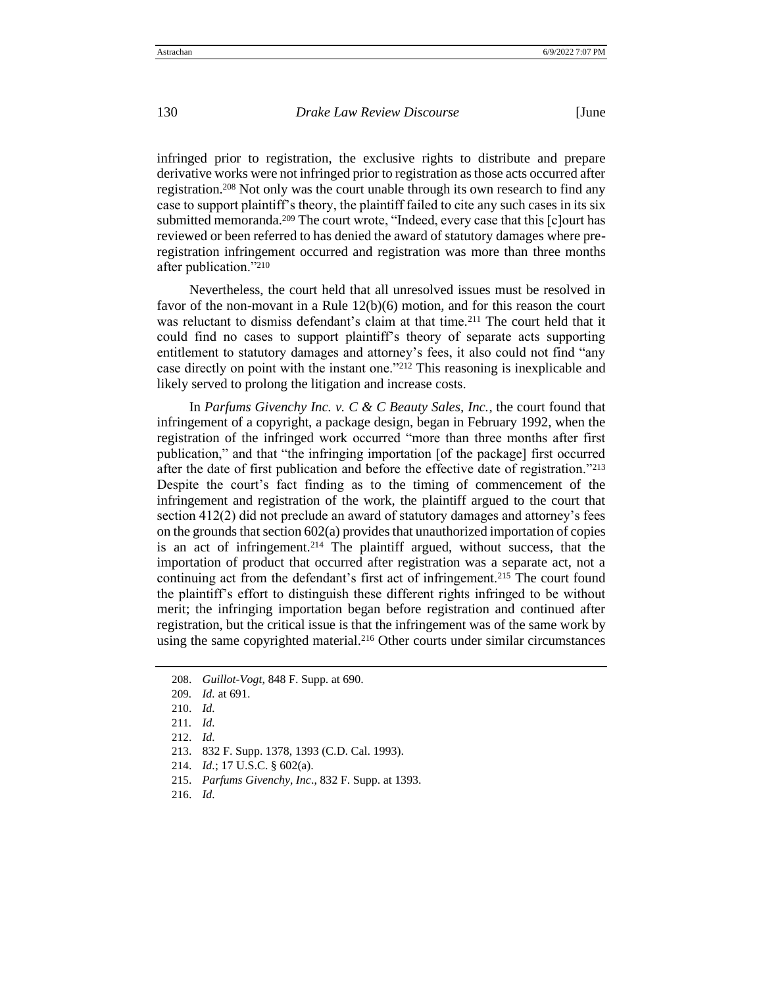infringed prior to registration, the exclusive rights to distribute and prepare derivative works were not infringed prior to registration as those acts occurred after registration.<sup>208</sup> Not only was the court unable through its own research to find any case to support plaintiff's theory, the plaintiff failed to cite any such cases in its six submitted memoranda.<sup>209</sup> The court wrote, "Indeed, every case that this [c]ourt has reviewed or been referred to has denied the award of statutory damages where preregistration infringement occurred and registration was more than three months after publication."<sup>210</sup>

Nevertheless, the court held that all unresolved issues must be resolved in favor of the non-movant in a Rule 12(b)(6) motion, and for this reason the court was reluctant to dismiss defendant's claim at that time.<sup>211</sup> The court held that it could find no cases to support plaintiff's theory of separate acts supporting entitlement to statutory damages and attorney's fees, it also could not find "any case directly on point with the instant one."<sup>212</sup> This reasoning is inexplicable and likely served to prolong the litigation and increase costs.

In *Parfums Givenchy Inc. v. C & C Beauty Sales, Inc.*, the court found that infringement of a copyright, a package design, began in February 1992, when the registration of the infringed work occurred "more than three months after first publication," and that "the infringing importation [of the package] first occurred after the date of first publication and before the effective date of registration."<sup>213</sup> Despite the court's fact finding as to the timing of commencement of the infringement and registration of the work, the plaintiff argued to the court that section 412(2) did not preclude an award of statutory damages and attorney's fees on the grounds that section 602(a) provides that unauthorized importation of copies is an act of infringement.<sup>214</sup> The plaintiff argued, without success, that the importation of product that occurred after registration was a separate act, not a continuing act from the defendant's first act of infringement.<sup>215</sup> The court found the plaintiff's effort to distinguish these different rights infringed to be without merit; the infringing importation began before registration and continued after registration, but the critical issue is that the infringement was of the same work by using the same copyrighted material.<sup>216</sup> Other courts under similar circumstances

<sup>208</sup>. *Guillot-Vogt*, 848 F. Supp. at 690.

<sup>209</sup>*. Id.* at 691.

<sup>210</sup>. *Id.*

<sup>211</sup>*. Id.* 

<sup>212</sup>. *Id.*

<sup>213</sup>. 832 F. Supp. 1378, 1393 (C.D. Cal. 1993).

<sup>214</sup>. *Id.*; 17 U.S.C. § 602(a).

<sup>215</sup>. *Parfums Givenchy, Inc*., 832 F. Supp. at 1393.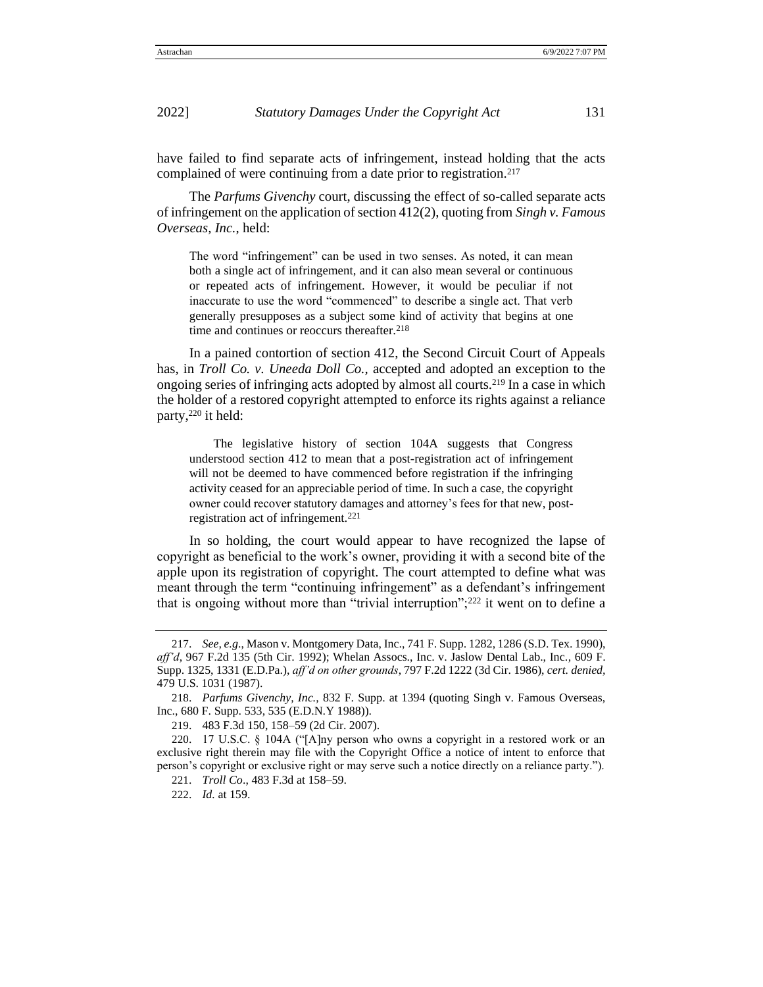have failed to find separate acts of infringement, instead holding that the acts complained of were continuing from a date prior to registration.<sup>217</sup>

The *Parfums Givenchy* court, discussing the effect of so-called separate acts of infringement on the application of section 412(2), quoting from *Singh v. Famous Overseas, Inc.*, held:

The word "infringement" can be used in two senses. As noted, it can mean both a single act of infringement, and it can also mean several or continuous or repeated acts of infringement. However, it would be peculiar if not inaccurate to use the word "commenced" to describe a single act. That verb generally presupposes as a subject some kind of activity that begins at one time and continues or reoccurs thereafter.<sup>218</sup>

In a pained contortion of section 412, the Second Circuit Court of Appeals has, in *Troll Co. v. Uneeda Doll Co.,* accepted and adopted an exception to the ongoing series of infringing acts adopted by almost all courts.<sup>219</sup> In a case in which the holder of a restored copyright attempted to enforce its rights against a reliance party,<sup>220</sup> it held:

The legislative history of section 104A suggests that Congress understood section 412 to mean that a post-registration act of infringement will not be deemed to have commenced before registration if the infringing activity ceased for an appreciable period of time. In such a case, the copyright owner could recover statutory damages and attorney's fees for that new, postregistration act of infringement.<sup>221</sup>

In so holding, the court would appear to have recognized the lapse of copyright as beneficial to the work's owner, providing it with a second bite of the apple upon its registration of copyright. The court attempted to define what was meant through the term "continuing infringement" as a defendant's infringement that is ongoing without more than "trivial interruption";<sup>222</sup> it went on to define a

<sup>217</sup>. *See, e.g*., Mason v. Montgomery Data, Inc., 741 F. Supp. 1282, 1286 (S.D. Tex. 1990), *aff'd*, 967 F.2d 135 (5th Cir. 1992); Whelan Assocs., Inc. v. Jaslow Dental Lab., Inc.*,* 609 F. Supp. 1325, 1331 (E.D.Pa.), *aff'd on other grounds*, 797 F.2d 1222 (3d Cir. 1986), *cert. denied,* 479 U.S. 1031 (1987).

<sup>218</sup>. *Parfums Givenchy, Inc.,* 832 F. Supp. at 1394 (quoting Singh v. Famous Overseas, Inc., 680 F. Supp. 533, 535 (E.D.N.Y 1988)).

<sup>219</sup>. 483 F.3d 150, 158–59 (2d Cir. 2007).

<sup>220</sup>. 17 U.S.C. § 104A ("[A]ny person who owns a copyright in a restored work or an exclusive right therein may file with the Copyright Office a notice of intent to enforce that person's copyright or exclusive right or may serve such a notice directly on a reliance party.").

<sup>221</sup>. *Troll Co*., 483 F.3d at 158–59.

<sup>222</sup>. *Id.* at 159.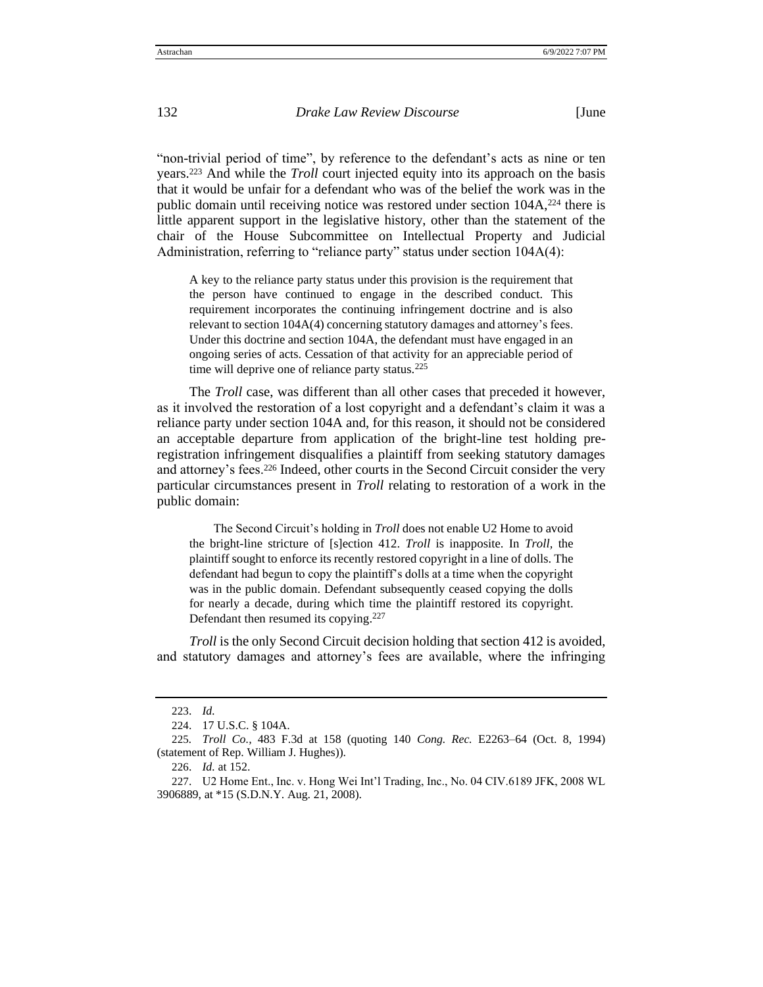"non-trivial period of time", by reference to the defendant's acts as nine or ten years.<sup>223</sup> And while the *Troll* court injected equity into its approach on the basis that it would be unfair for a defendant who was of the belief the work was in the public domain until receiving notice was restored under section  $104A$ ,<sup>224</sup> there is little apparent support in the legislative history, other than the statement of the chair of the House Subcommittee on Intellectual Property and Judicial Administration, referring to "reliance party" status under section 104A(4):

A key to the reliance party status under this provision is the requirement that the person have continued to engage in the described conduct. This requirement incorporates the continuing infringement doctrine and is also relevant to section 104A(4) concerning statutory damages and attorney's fees. Under this doctrine and section 104A, the defendant must have engaged in an ongoing series of acts. Cessation of that activity for an appreciable period of time will deprive one of reliance party status.<sup>225</sup>

The *Troll* case, was different than all other cases that preceded it however, as it involved the restoration of a lost copyright and a defendant's claim it was a reliance party under section 104A and, for this reason, it should not be considered an acceptable departure from application of the bright-line test holding preregistration infringement disqualifies a plaintiff from seeking statutory damages and attorney's fees.<sup>226</sup> Indeed, other courts in the Second Circuit consider the very particular circumstances present in *Troll* relating to restoration of a work in the public domain:

The Second Circuit's holding in *Troll* does not enable U2 Home to avoid the bright-line stricture of [s]ection 412. *Troll* is inapposite. In *Troll,* the plaintiff sought to enforce its recently restored copyright in a line of dolls. The defendant had begun to copy the plaintiff's dolls at a time when the copyright was in the public domain. Defendant subsequently ceased copying the dolls for nearly a decade, during which time the plaintiff restored its copyright. Defendant then resumed its copying.<sup>227</sup>

*Troll* is the only Second Circuit decision holding that section 412 is avoided, and statutory damages and attorney's fees are available, where the infringing

<sup>223</sup>. *Id.*

<sup>224</sup>. 17 U.S.C. § 104A.

<sup>225</sup>*. Troll Co.,* 483 F.3d at 158 (quoting 140 *Cong. Rec.* E2263–64 (Oct. 8, 1994) (statement of Rep. William J. Hughes)).

<sup>226</sup>. *Id.* at 152.

<sup>227</sup>. U2 Home Ent., Inc. v. Hong Wei Int'l Trading, Inc., No. 04 CIV.6189 JFK, 2008 WL 3906889, at \*15 (S.D.N.Y. Aug. 21, 2008).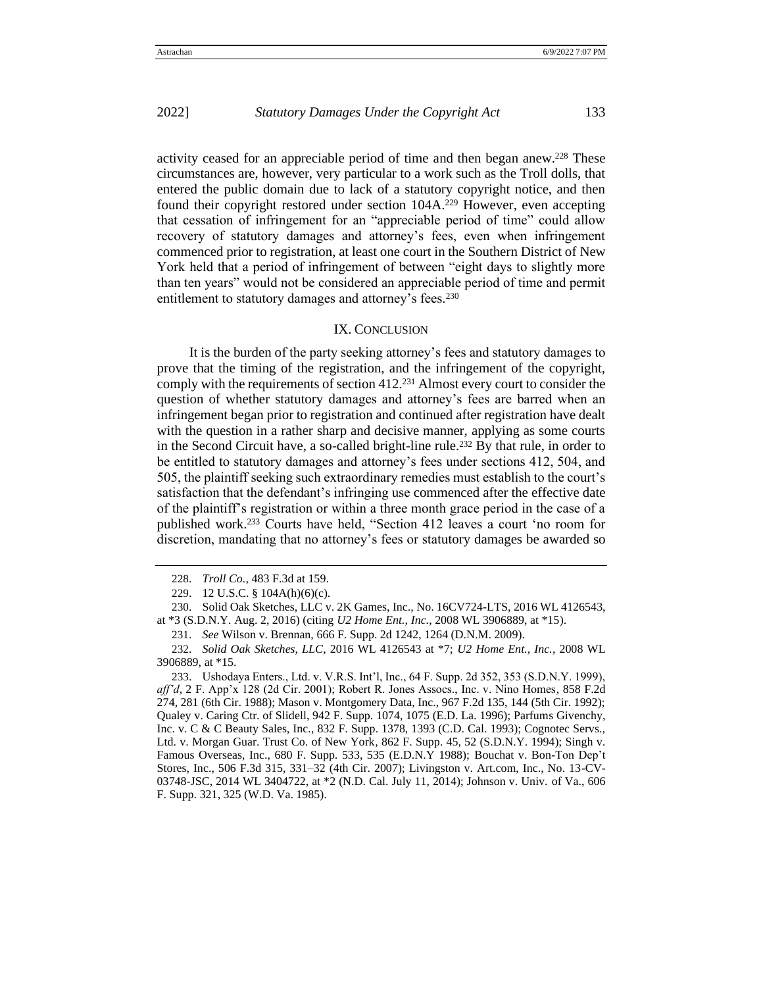activity ceased for an appreciable period of time and then began anew.<sup>228</sup> These circumstances are, however, very particular to a work such as the Troll dolls, that entered the public domain due to lack of a statutory copyright notice, and then found their copyright restored under section 104A.<sup>229</sup> However, even accepting that cessation of infringement for an "appreciable period of time" could allow recovery of statutory damages and attorney's fees, even when infringement commenced prior to registration, at least one court in the Southern District of New York held that a period of infringement of between "eight days to slightly more than ten years" would not be considered an appreciable period of time and permit entitlement to statutory damages and attorney's fees.<sup>230</sup>

## IX. CONCLUSION

It is the burden of the party seeking attorney's fees and statutory damages to prove that the timing of the registration, and the infringement of the copyright, comply with the requirements of section 412.<sup>231</sup> Almost every court to consider the question of whether statutory damages and attorney's fees are barred when an infringement began prior to registration and continued after registration have dealt with the question in a rather sharp and decisive manner, applying as some courts in the Second Circuit have, a so-called bright-line rule.<sup>232</sup> By that rule, in order to be entitled to statutory damages and attorney's fees under sections 412, 504, and 505, the plaintiff seeking such extraordinary remedies must establish to the court's satisfaction that the defendant's infringing use commenced after the effective date of the plaintiff's registration or within a three month grace period in the case of a published work.<sup>233</sup> Courts have held, "Section 412 leaves a court 'no room for discretion, mandating that no attorney's fees or statutory damages be awarded so

230. Solid Oak Sketches, LLC v. 2K Games, Inc., No. 16CV724-LTS, 2016 WL 4126543, at \*3 (S.D.N.Y. Aug. 2, 2016) (citing *U2 Home Ent., Inc.*, 2008 WL 3906889, at \*15).

231. *See* Wilson v. Brennan, 666 F. Supp. 2d 1242, 1264 (D.N.M. 2009).

232. *Solid Oak Sketches, LLC*, 2016 WL 4126543 at \*7; *U2 Home Ent., Inc.*, 2008 WL 3906889, at \*15.

233. Ushodaya Enters., Ltd. v. V.R.S. Int'l, Inc., 64 F. Supp. 2d 352, 353 (S.D.N.Y. 1999), *aff'd*, 2 F. App'x 128 (2d Cir. 2001); Robert R. Jones Assocs., Inc. v. Nino Homes*,* 858 F.2d 274, 281 (6th Cir. 1988); Mason v. Montgomery Data, Inc., 967 F.2d 135, 144 (5th Cir. 1992); Qualey v. Caring Ctr. of Slidell, 942 F. Supp. 1074, 1075 (E.D. La. 1996); Parfums Givenchy, Inc. v. C & C Beauty Sales, Inc*.*, 832 F. Supp. 1378, 1393 (C.D. Cal. 1993); Cognotec Servs., Ltd. v. Morgan Guar. Trust Co. of New York*,* 862 F. Supp. 45, 52 (S.D.N.Y. 1994); Singh v. Famous Overseas, Inc., 680 F. Supp. 533, 535 (E.D.N.Y 1988); Bouchat v. Bon-Ton Dep't Stores, Inc., 506 F.3d 315, 331–32 (4th Cir. 2007); Livingston v. Art.com, Inc., No. 13-CV-03748-JSC, 2014 WL 3404722, at \*2 (N.D. Cal. July 11, 2014); Johnson v. Univ. of Va., 606 F. Supp. 321, 325 (W.D. Va. 1985).

<sup>228</sup>. *Troll Co.*, 483 F.3d at 159.

<sup>229</sup>. 12 U.S.C. § 104A(h)(6)(c).